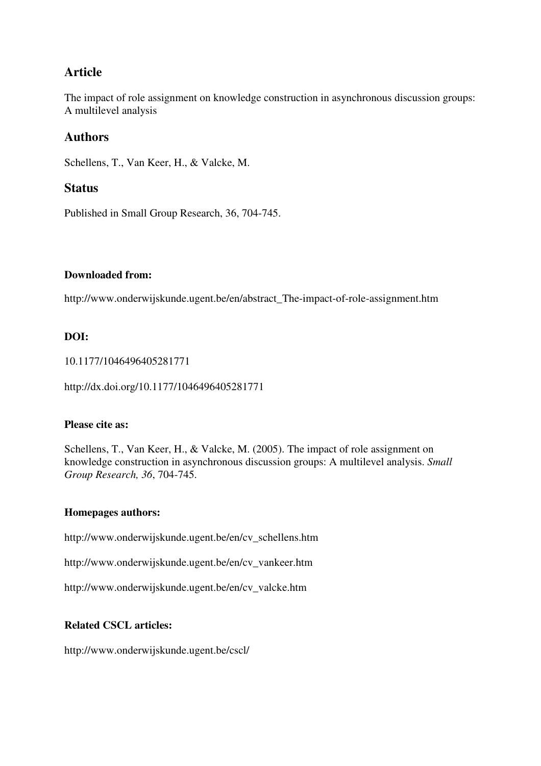# **Article**

The impact of role assignment on knowledge construction in asynchronous discussion groups: A multilevel analysis

# **Authors**

Schellens, T., Van Keer, H., & Valcke, M.

# **Status**

Published in Small Group Research, 36, 704-745.

# **Downloaded from:**

http://www.onderwijskunde.ugent.be/en/abstract\_The-impact-of-role-assignment.htm

# **DOI:**

10.1177/1046496405281771

http://dx.doi.org/10.1177/1046496405281771

# **Please cite as:**

Schellens, T., Van Keer, H., & Valcke, M. (2005). The impact of role assignment on knowledge construction in asynchronous discussion groups: A multilevel analysis. *Small Group Research, 36*, 704-745.

# **Homepages authors:**

http://www.onderwijskunde.ugent.be/en/cv\_schellens.htm

http://www.onderwijskunde.ugent.be/en/cv\_vankeer.htm

http://www.onderwijskunde.ugent.be/en/cv\_valcke.htm

# **Related CSCL articles:**

http://www.onderwijskunde.ugent.be/cscl/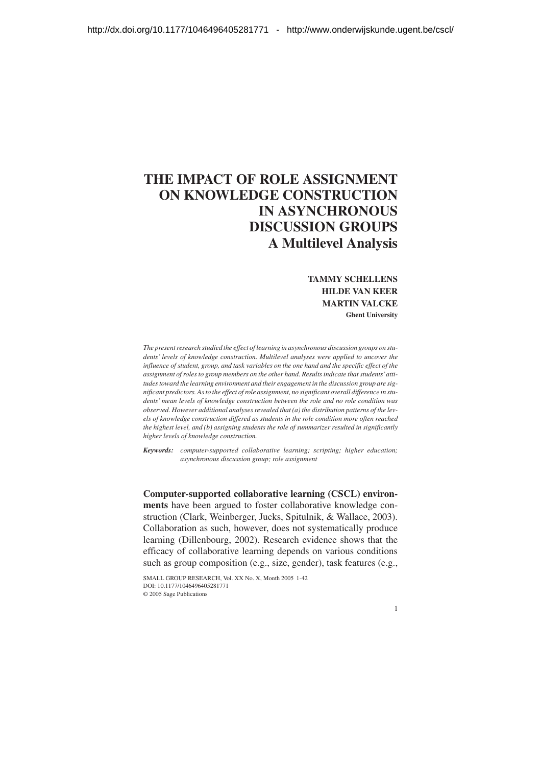# **THE IMPACT OF ROLE ASSIGNMENT ON KNOWLEDGE CONSTRUCTION IN ASYNCHRONOUS DISCUSSION GROUPS A Multilevel Analysis**

# **TAMMY SCHELLENS HILDE VAN KEER MARTIN VALCKE Ghent University**

1

*The present research studied the effect of learning in asynchronous discussion groups on students' levels of knowledge construction. Multilevel analyses were applied to uncover the influence of student, group, and task variables on the one hand and the specific effect of the assignment of roles to group members on the other hand. Results indicate that students'attitudes toward the learning environment and their engagement in the discussion group are significant predictors. As to the effect of role assignment, no significant overall difference in students' mean levels of knowledge construction between the role and no role condition was observed. However additional analyses revealed that (a) the distribution patterns of the levels of knowledge construction differed as students in the role condition more often reached the highest level, and (b) assigning students the role of summarizer resulted in significantly higher levels of knowledge construction.*

*Keywords: computer-supported collaborative learning; scripting; higher education; asynchronous discussion group; role assignment*

**Computer-supported collaborative learning (CSCL) environments** have been argued to foster collaborative knowledge construction (Clark, Weinberger, Jucks, Spitulnik, & Wallace, 2003). Collaboration as such, however, does not systematically produce learning (Dillenbourg, 2002). Research evidence shows that the efficacy of collaborative learning depends on various conditions such as group composition (e.g., size, gender), task features (e.g.,

SMALL GROUP RESEARCH, Vol. XX No. X, Month 2005 1-42 DOI: 10.1177/1046496405281771 © 2005 Sage Publications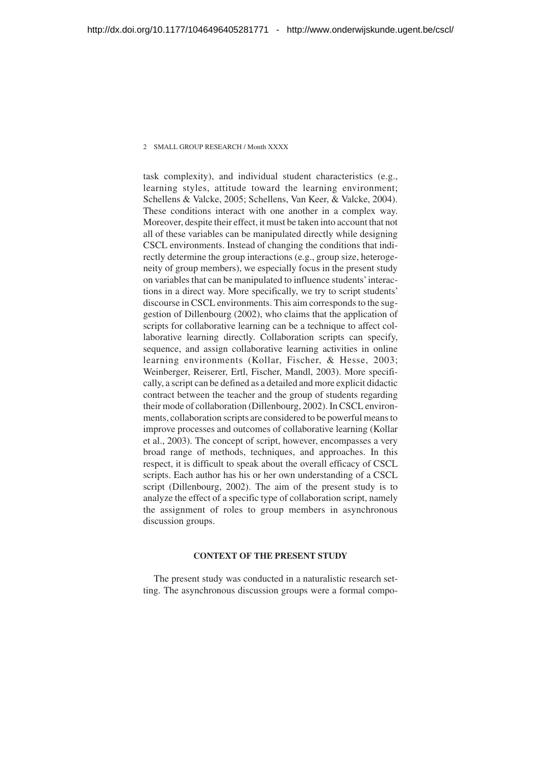task complexity), and individual student characteristics (e.g., learning styles, attitude toward the learning environment; Schellens & Valcke, 2005; Schellens, Van Keer, & Valcke, 2004). These conditions interact with one another in a complex way. Moreover, despite their effect, it must be taken into account that not all of these variables can be manipulated directly while designing CSCL environments. Instead of changing the conditions that indirectly determine the group interactions (e.g., group size, heterogeneity of group members), we especially focus in the present study on variables that can be manipulated to influence students'interactions in a direct way. More specifically, we try to script students' discourse in CSCL environments. This aim corresponds to the suggestion of Dillenbourg (2002), who claims that the application of scripts for collaborative learning can be a technique to affect collaborative learning directly. Collaboration scripts can specify, sequence, and assign collaborative learning activities in online learning environments (Kollar, Fischer, & Hesse, 2003; Weinberger, Reiserer, Ertl, Fischer, Mandl, 2003). More specifically, a script can be defined as a detailed and more explicit didactic contract between the teacher and the group of students regarding their mode of collaboration (Dillenbourg, 2002). In CSCL environments, collaboration scripts are considered to be powerful means to improve processes and outcomes of collaborative learning (Kollar et al., 2003). The concept of script, however, encompasses a very broad range of methods, techniques, and approaches. In this respect, it is difficult to speak about the overall efficacy of CSCL scripts. Each author has his or her own understanding of a CSCL script (Dillenbourg, 2002). The aim of the present study is to analyze the effect of a specific type of collaboration script, namely the assignment of roles to group members in asynchronous discussion groups.

# **CONTEXT OF THE PRESENT STUDY**

The present study was conducted in a naturalistic research setting. The asynchronous discussion groups were a formal compo-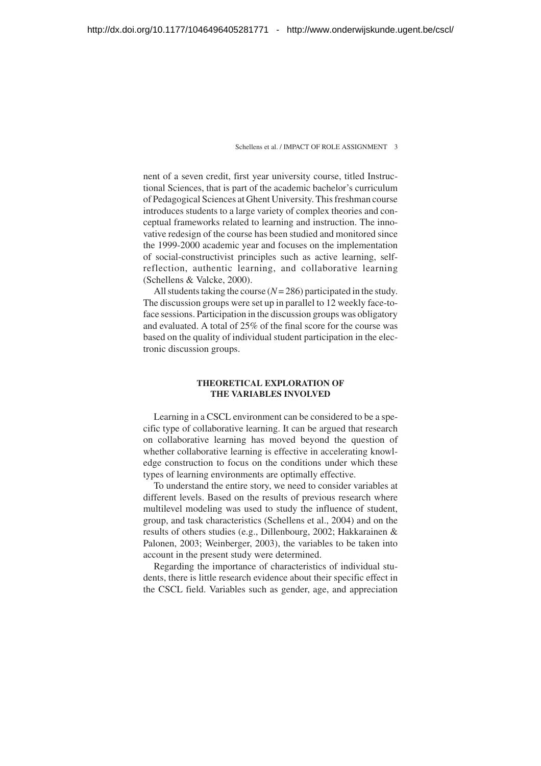nent of a seven credit, first year university course, titled Instructional Sciences, that is part of the academic bachelor's curriculum of Pedagogical Sciences at Ghent University. This freshman course introduces students to a large variety of complex theories and conceptual frameworks related to learning and instruction. The innovative redesign of the course has been studied and monitored since the 1999-2000 academic year and focuses on the implementation of social-constructivist principles such as active learning, selfreflection, authentic learning, and collaborative learning (Schellens & Valcke, 2000).

All students taking the course (*N*= 286) participated in the study. The discussion groups were set up in parallel to 12 weekly face-toface sessions. Participation in the discussion groups was obligatory and evaluated. A total of 25% of the final score for the course was based on the quality of individual student participation in the electronic discussion groups.

## **THEORETICAL EXPLORATION OF THE VARIABLES INVOLVED**

Learning in a CSCL environment can be considered to be a specific type of collaborative learning. It can be argued that research on collaborative learning has moved beyond the question of whether collaborative learning is effective in accelerating knowledge construction to focus on the conditions under which these types of learning environments are optimally effective.

To understand the entire story, we need to consider variables at different levels. Based on the results of previous research where multilevel modeling was used to study the influence of student, group, and task characteristics (Schellens et al., 2004) and on the results of others studies (e.g., Dillenbourg, 2002; Hakkarainen & Palonen, 2003; Weinberger, 2003), the variables to be taken into account in the present study were determined.

Regarding the importance of characteristics of individual students, there is little research evidence about their specific effect in the CSCL field. Variables such as gender, age, and appreciation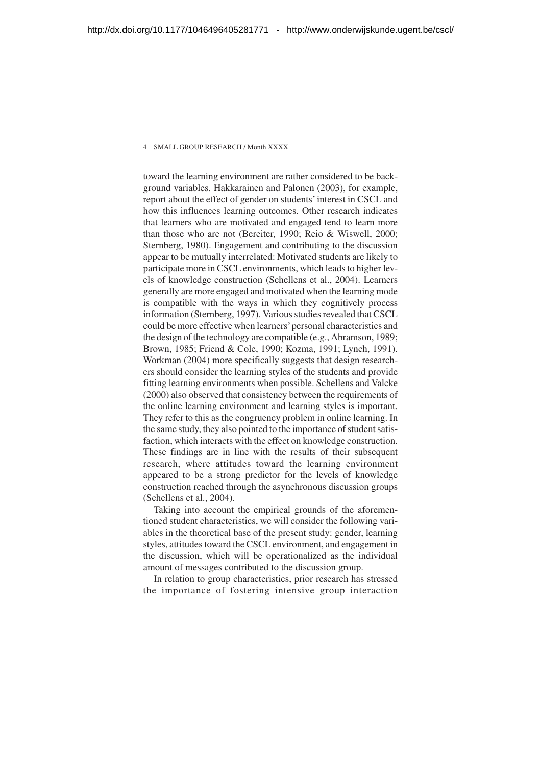toward the learning environment are rather considered to be background variables. Hakkarainen and Palonen (2003), for example, report about the effect of gender on students' interest in CSCL and how this influences learning outcomes. Other research indicates that learners who are motivated and engaged tend to learn more than those who are not (Bereiter, 1990; Reio & Wiswell, 2000; Sternberg, 1980). Engagement and contributing to the discussion appear to be mutually interrelated: Motivated students are likely to participate more in CSCL environments, which leads to higher levels of knowledge construction (Schellens et al., 2004). Learners generally are more engaged and motivated when the learning mode is compatible with the ways in which they cognitively process information (Sternberg, 1997). Various studies revealed that CSCL could be more effective when learners'personal characteristics and the design of the technology are compatible (e.g., Abramson, 1989; Brown, 1985; Friend & Cole, 1990; Kozma, 1991; Lynch, 1991). Workman (2004) more specifically suggests that design researchers should consider the learning styles of the students and provide fitting learning environments when possible. Schellens and Valcke (2000) also observed that consistency between the requirements of the online learning environment and learning styles is important. They refer to this as the congruency problem in online learning. In the same study, they also pointed to the importance of student satisfaction, which interacts with the effect on knowledge construction. These findings are in line with the results of their subsequent research, where attitudes toward the learning environment appeared to be a strong predictor for the levels of knowledge construction reached through the asynchronous discussion groups (Schellens et al., 2004).

Taking into account the empirical grounds of the aforementioned student characteristics, we will consider the following variables in the theoretical base of the present study: gender, learning styles, attitudes toward the CSCL environment, and engagement in the discussion, which will be operationalized as the individual amount of messages contributed to the discussion group.

In relation to group characteristics, prior research has stressed the importance of fostering intensive group interaction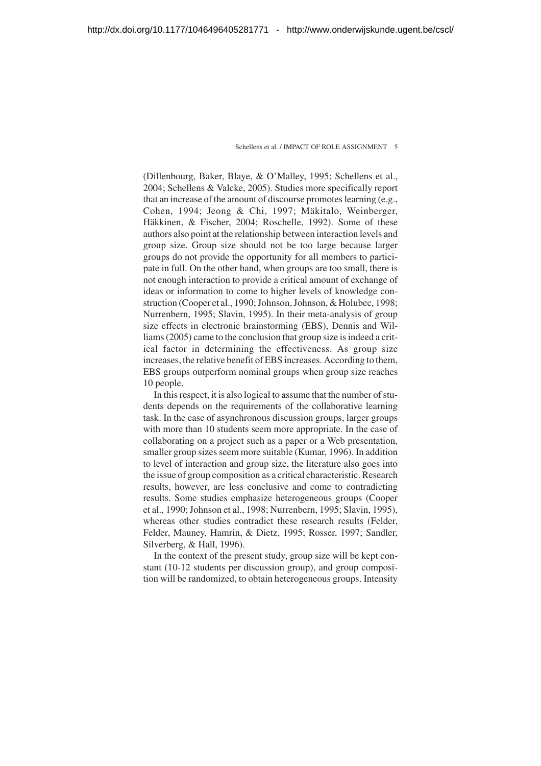(Dillenbourg, Baker, Blaye, & O'Malley, 1995; Schellens et al., 2004; Schellens & Valcke, 2005). Studies more specifically report that an increase of the amount of discourse promotes learning (e.g., Cohen, 1994; Jeong & Chi, 1997; Mäkitalo, Weinberger, Häkkinen, & Fischer, 2004; Roschelle, 1992). Some of these authors also point at the relationship between interaction levels and group size. Group size should not be too large because larger groups do not provide the opportunity for all members to participate in full. On the other hand, when groups are too small, there is not enough interaction to provide a critical amount of exchange of ideas or information to come to higher levels of knowledge construction (Cooper et al., 1990; Johnson, Johnson, & Holubec, 1998; Nurrenbern, 1995; Slavin, 1995). In their meta-analysis of group size effects in electronic brainstorming (EBS), Dennis and Williams (2005) came to the conclusion that group size is indeed a critical factor in determining the effectiveness. As group size increases, the relative benefit of EBS increases. According to them, EBS groups outperform nominal groups when group size reaches 10 people.

In this respect, it is also logical to assume that the number of students depends on the requirements of the collaborative learning task. In the case of asynchronous discussion groups, larger groups with more than 10 students seem more appropriate. In the case of collaborating on a project such as a paper or a Web presentation, smaller group sizes seem more suitable (Kumar, 1996). In addition to level of interaction and group size, the literature also goes into the issue of group composition as a critical characteristic. Research results, however, are less conclusive and come to contradicting results. Some studies emphasize heterogeneous groups (Cooper et al., 1990; Johnson et al., 1998; Nurrenbern, 1995; Slavin, 1995), whereas other studies contradict these research results (Felder, Felder, Mauney, Hamrin, & Dietz, 1995; Rosser, 1997; Sandler, Silverberg, & Hall, 1996).

In the context of the present study, group size will be kept constant (10-12 students per discussion group), and group composition will be randomized, to obtain heterogeneous groups. Intensity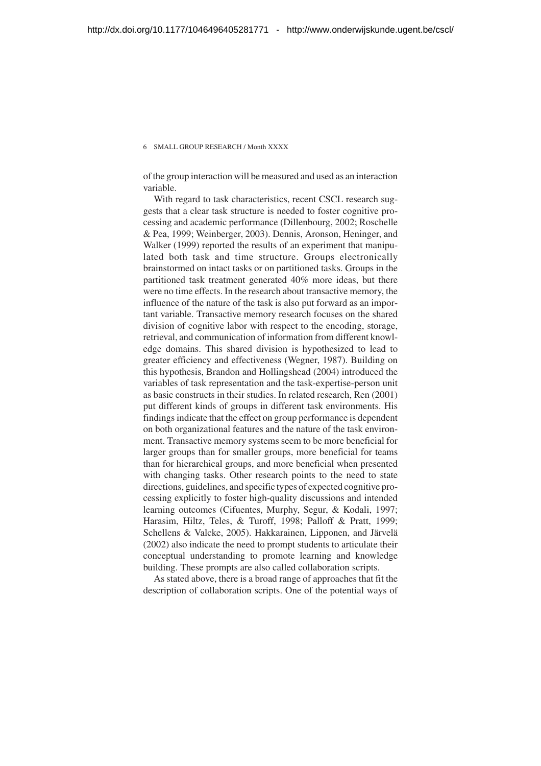of the group interaction will be measured and used as an interaction variable.

With regard to task characteristics, recent CSCL research suggests that a clear task structure is needed to foster cognitive processing and academic performance (Dillenbourg, 2002; Roschelle & Pea, 1999; Weinberger, 2003). Dennis, Aronson, Heninger, and Walker (1999) reported the results of an experiment that manipulated both task and time structure. Groups electronically brainstormed on intact tasks or on partitioned tasks. Groups in the partitioned task treatment generated 40% more ideas, but there were no time effects. In the research about transactive memory, the influence of the nature of the task is also put forward as an important variable. Transactive memory research focuses on the shared division of cognitive labor with respect to the encoding, storage, retrieval, and communication of information from different knowledge domains. This shared division is hypothesized to lead to greater efficiency and effectiveness (Wegner, 1987). Building on this hypothesis, Brandon and Hollingshead (2004) introduced the variables of task representation and the task-expertise-person unit as basic constructs in their studies. In related research, Ren (2001) put different kinds of groups in different task environments. His findings indicate that the effect on group performance is dependent on both organizational features and the nature of the task environment. Transactive memory systems seem to be more beneficial for larger groups than for smaller groups, more beneficial for teams than for hierarchical groups, and more beneficial when presented with changing tasks. Other research points to the need to state directions, guidelines, and specific types of expected cognitive processing explicitly to foster high-quality discussions and intended learning outcomes (Cifuentes, Murphy, Segur, & Kodali, 1997; Harasim, Hiltz, Teles, & Turoff, 1998; Palloff & Pratt, 1999; Schellens & Valcke, 2005). Hakkarainen, Lipponen, and Järvelä (2002) also indicate the need to prompt students to articulate their conceptual understanding to promote learning and knowledge building. These prompts are also called collaboration scripts.

As stated above, there is a broad range of approaches that fit the description of collaboration scripts. One of the potential ways of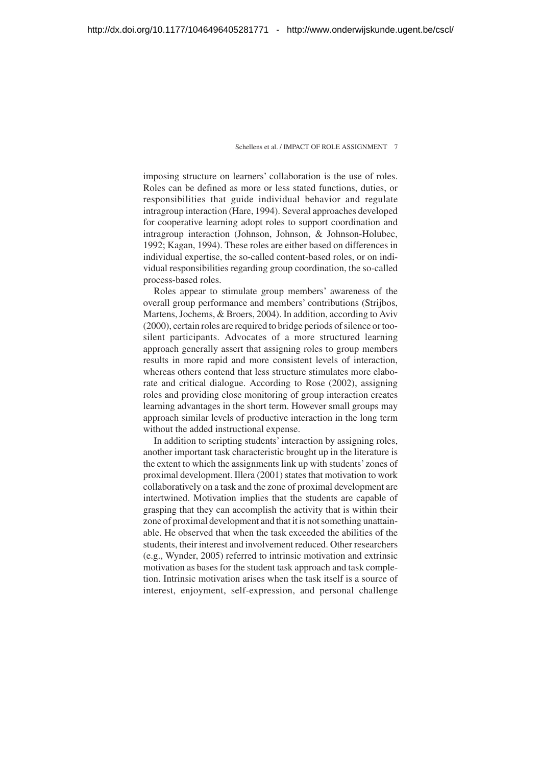imposing structure on learners' collaboration is the use of roles. Roles can be defined as more or less stated functions, duties, or responsibilities that guide individual behavior and regulate intragroup interaction (Hare, 1994). Several approaches developed for cooperative learning adopt roles to support coordination and intragroup interaction (Johnson, Johnson, & Johnson-Holubec, 1992; Kagan, 1994). These roles are either based on differences in individual expertise, the so-called content-based roles, or on individual responsibilities regarding group coordination, the so-called process-based roles.

Roles appear to stimulate group members' awareness of the overall group performance and members' contributions (Strijbos, Martens, Jochems, & Broers, 2004). In addition, according to Aviv (2000), certain roles are required to bridge periods of silence or toosilent participants. Advocates of a more structured learning approach generally assert that assigning roles to group members results in more rapid and more consistent levels of interaction, whereas others contend that less structure stimulates more elaborate and critical dialogue. According to Rose (2002), assigning roles and providing close monitoring of group interaction creates learning advantages in the short term. However small groups may approach similar levels of productive interaction in the long term without the added instructional expense.

In addition to scripting students' interaction by assigning roles, another important task characteristic brought up in the literature is the extent to which the assignments link up with students'zones of proximal development. Illera (2001) states that motivation to work collaboratively on a task and the zone of proximal development are intertwined. Motivation implies that the students are capable of grasping that they can accomplish the activity that is within their zone of proximal development and that it is not something unattainable. He observed that when the task exceeded the abilities of the students, their interest and involvement reduced. Other researchers (e.g., Wynder, 2005) referred to intrinsic motivation and extrinsic motivation as bases for the student task approach and task completion. Intrinsic motivation arises when the task itself is a source of interest, enjoyment, self-expression, and personal challenge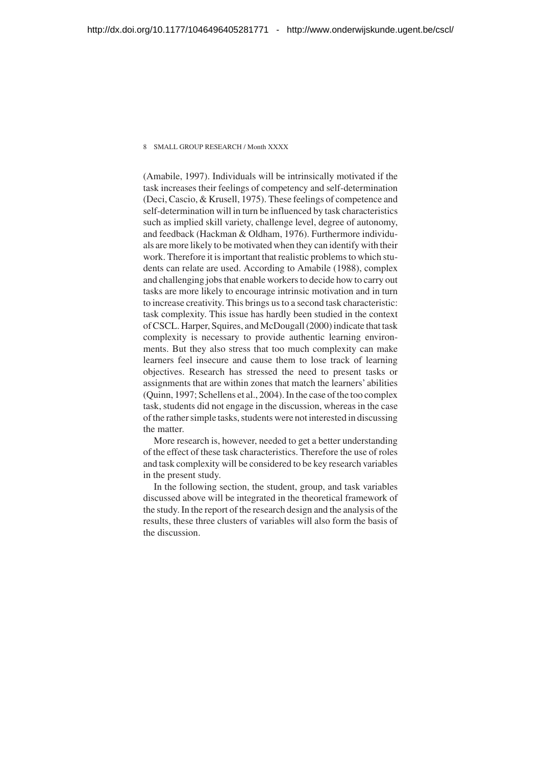(Amabile, 1997). Individuals will be intrinsically motivated if the task increases their feelings of competency and self-determination (Deci, Cascio, & Krusell, 1975). These feelings of competence and self-determination will in turn be influenced by task characteristics such as implied skill variety, challenge level, degree of autonomy, and feedback (Hackman & Oldham, 1976). Furthermore individuals are more likely to be motivated when they can identify with their work. Therefore it is important that realistic problems to which students can relate are used. According to Amabile (1988), complex and challenging jobs that enable workers to decide how to carry out tasks are more likely to encourage intrinsic motivation and in turn to increase creativity. This brings us to a second task characteristic: task complexity. This issue has hardly been studied in the context of CSCL. Harper, Squires, and McDougall (2000) indicate that task complexity is necessary to provide authentic learning environments. But they also stress that too much complexity can make learners feel insecure and cause them to lose track of learning objectives. Research has stressed the need to present tasks or assignments that are within zones that match the learners' abilities (Quinn, 1997; Schellens et al., 2004). In the case of the too complex task, students did not engage in the discussion, whereas in the case of the rather simple tasks, students were not interested in discussing the matter.

More research is, however, needed to get a better understanding of the effect of these task characteristics. Therefore the use of roles and task complexity will be considered to be key research variables in the present study.

In the following section, the student, group, and task variables discussed above will be integrated in the theoretical framework of the study. In the report of the research design and the analysis of the results, these three clusters of variables will also form the basis of the discussion.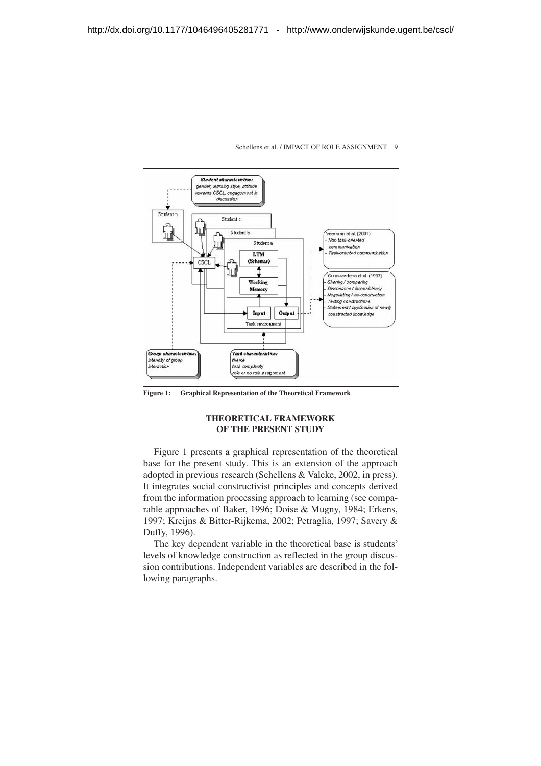

**Figure 1: Graphical Representation of the Theoretical Framework**

## **THEORETICAL FRAMEWORK OF THE PRESENT STUDY**

Figure 1 presents a graphical representation of the theoretical base for the present study. This is an extension of the approach adopted in previous research (Schellens & Valcke, 2002, in press). It integrates social constructivist principles and concepts derived from the information processing approach to learning (see comparable approaches of Baker, 1996; Doise & Mugny, 1984; Erkens, 1997; Kreijns & Bitter-Rijkema, 2002; Petraglia, 1997; Savery & Duffy, 1996).

The key dependent variable in the theoretical base is students' levels of knowledge construction as reflected in the group discussion contributions. Independent variables are described in the following paragraphs.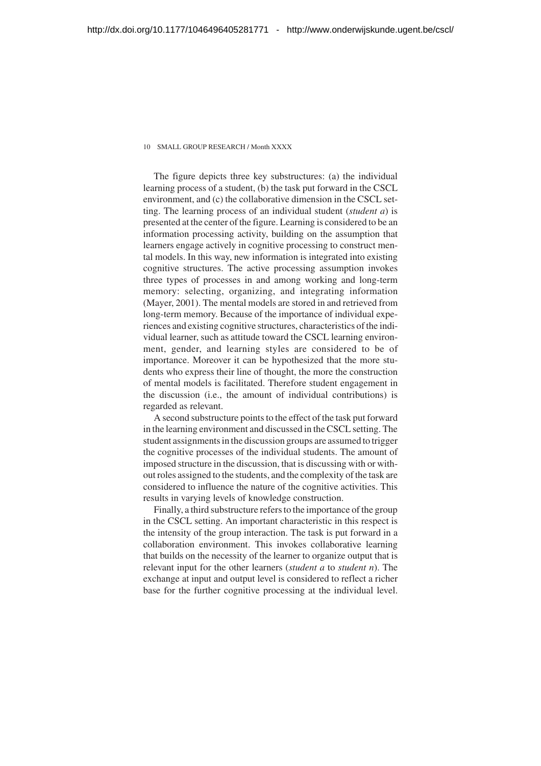The figure depicts three key substructures: (a) the individual learning process of a student, (b) the task put forward in the CSCL environment, and (c) the collaborative dimension in the CSCL setting. The learning process of an individual student (*student a*) is presented at the center of the figure. Learning is considered to be an information processing activity, building on the assumption that learners engage actively in cognitive processing to construct mental models. In this way, new information is integrated into existing cognitive structures. The active processing assumption invokes three types of processes in and among working and long-term memory: selecting, organizing, and integrating information (Mayer, 2001). The mental models are stored in and retrieved from long-term memory. Because of the importance of individual experiences and existing cognitive structures, characteristics of the individual learner, such as attitude toward the CSCL learning environment, gender, and learning styles are considered to be of importance. Moreover it can be hypothesized that the more students who express their line of thought, the more the construction of mental models is facilitated. Therefore student engagement in the discussion (i.e., the amount of individual contributions) is regarded as relevant.

A second substructure points to the effect of the task put forward in the learning environment and discussed in the CSCL setting. The student assignments in the discussion groups are assumed to trigger the cognitive processes of the individual students. The amount of imposed structure in the discussion, that is discussing with or without roles assigned to the students, and the complexity of the task are considered to influence the nature of the cognitive activities. This results in varying levels of knowledge construction.

Finally, a third substructure refers to the importance of the group in the CSCL setting. An important characteristic in this respect is the intensity of the group interaction. The task is put forward in a collaboration environment. This invokes collaborative learning that builds on the necessity of the learner to organize output that is relevant input for the other learners (*student a* to *student n*). The exchange at input and output level is considered to reflect a richer base for the further cognitive processing at the individual level.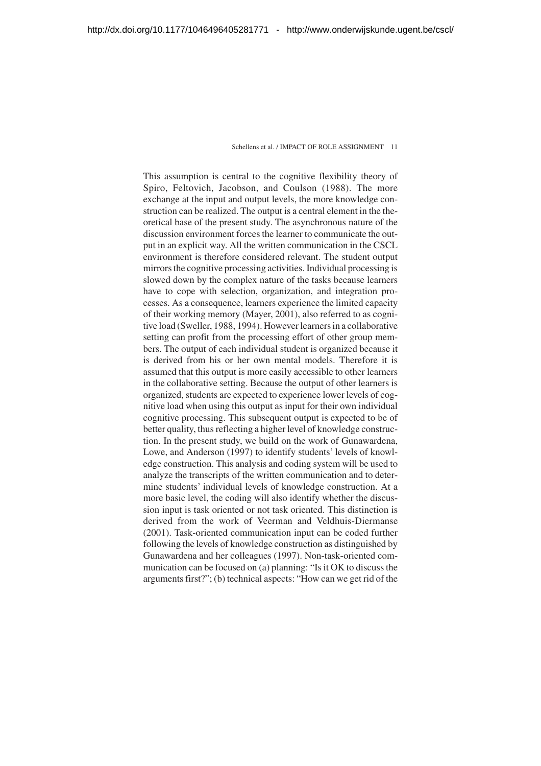This assumption is central to the cognitive flexibility theory of Spiro, Feltovich, Jacobson, and Coulson (1988). The more exchange at the input and output levels, the more knowledge construction can be realized. The output is a central element in the theoretical base of the present study. The asynchronous nature of the discussion environment forces the learner to communicate the output in an explicit way. All the written communication in the CSCL environment is therefore considered relevant. The student output mirrors the cognitive processing activities. Individual processing is slowed down by the complex nature of the tasks because learners have to cope with selection, organization, and integration processes. As a consequence, learners experience the limited capacity of their working memory (Mayer, 2001), also referred to as cognitive load (Sweller, 1988, 1994). However learners in a collaborative setting can profit from the processing effort of other group members. The output of each individual student is organized because it is derived from his or her own mental models. Therefore it is assumed that this output is more easily accessible to other learners in the collaborative setting. Because the output of other learners is organized, students are expected to experience lower levels of cognitive load when using this output as input for their own individual cognitive processing. This subsequent output is expected to be of better quality, thus reflecting a higher level of knowledge construction. In the present study, we build on the work of Gunawardena, Lowe, and Anderson (1997) to identify students' levels of knowledge construction. This analysis and coding system will be used to analyze the transcripts of the written communication and to determine students' individual levels of knowledge construction. At a more basic level, the coding will also identify whether the discussion input is task oriented or not task oriented. This distinction is derived from the work of Veerman and Veldhuis-Diermanse (2001). Task-oriented communication input can be coded further following the levels of knowledge construction as distinguished by Gunawardena and her colleagues (1997). Non-task-oriented communication can be focused on (a) planning: "Is it OK to discuss the arguments first?"; (b) technical aspects: "How can we get rid of the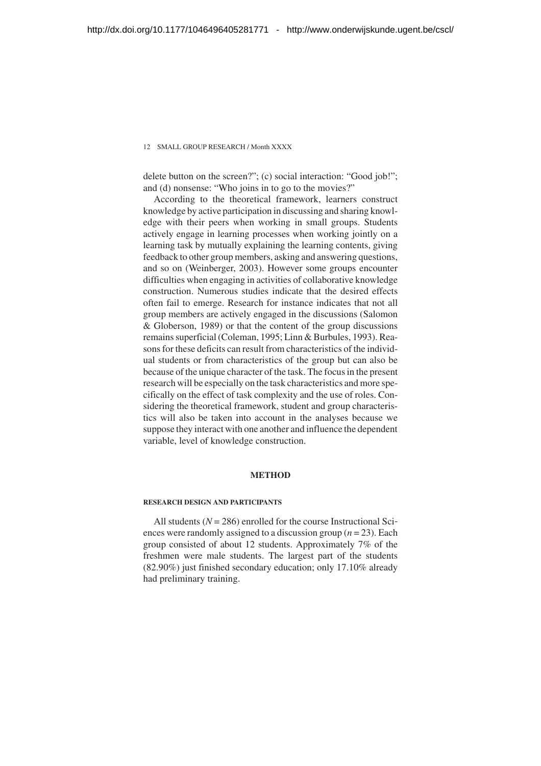delete button on the screen?"; (c) social interaction: "Good job!"; and (d) nonsense: "Who joins in to go to the movies?"

According to the theoretical framework, learners construct knowledge by active participation in discussing and sharing knowledge with their peers when working in small groups. Students actively engage in learning processes when working jointly on a learning task by mutually explaining the learning contents, giving feedback to other group members, asking and answering questions, and so on (Weinberger, 2003). However some groups encounter difficulties when engaging in activities of collaborative knowledge construction. Numerous studies indicate that the desired effects often fail to emerge. Research for instance indicates that not all group members are actively engaged in the discussions (Salomon & Globerson, 1989) or that the content of the group discussions remains superficial (Coleman, 1995; Linn & Burbules, 1993). Reasons for these deficits can result from characteristics of the individual students or from characteristics of the group but can also be because of the unique character of the task. The focus in the present research will be especially on the task characteristics and more specifically on the effect of task complexity and the use of roles. Considering the theoretical framework, student and group characteristics will also be taken into account in the analyses because we suppose they interact with one another and influence the dependent variable, level of knowledge construction.

# **METHOD**

## **RESEARCH DESIGN AND PARTICIPANTS**

All students  $(N = 286)$  enrolled for the course Instructional Sciences were randomly assigned to a discussion group (*n* = 23). Each group consisted of about 12 students. Approximately 7% of the freshmen were male students. The largest part of the students (82.90%) just finished secondary education; only 17.10% already had preliminary training.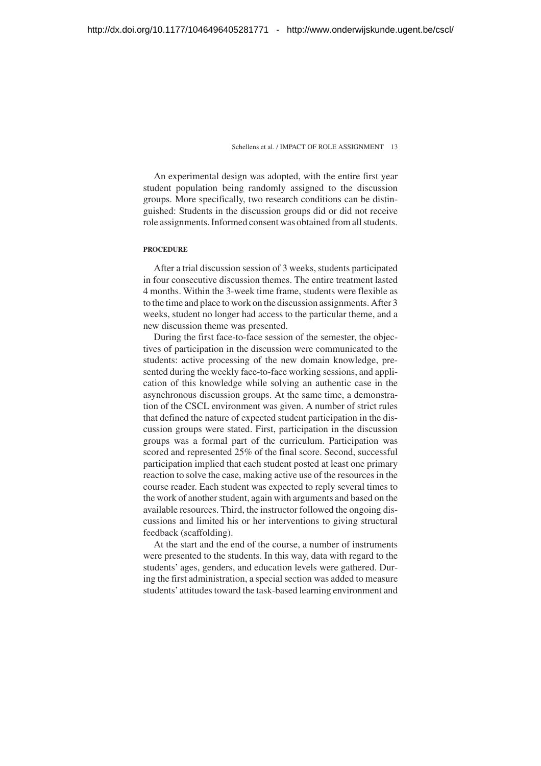An experimental design was adopted, with the entire first year student population being randomly assigned to the discussion groups. More specifically, two research conditions can be distinguished: Students in the discussion groups did or did not receive role assignments. Informed consent was obtained from all students.

## **PROCEDURE**

After a trial discussion session of 3 weeks, students participated in four consecutive discussion themes. The entire treatment lasted 4 months. Within the 3-week time frame, students were flexible as to the time and place to work on the discussion assignments. After 3 weeks, student no longer had access to the particular theme, and a new discussion theme was presented.

During the first face-to-face session of the semester, the objectives of participation in the discussion were communicated to the students: active processing of the new domain knowledge, presented during the weekly face-to-face working sessions, and application of this knowledge while solving an authentic case in the asynchronous discussion groups. At the same time, a demonstration of the CSCL environment was given. A number of strict rules that defined the nature of expected student participation in the discussion groups were stated. First, participation in the discussion groups was a formal part of the curriculum. Participation was scored and represented 25% of the final score. Second, successful participation implied that each student posted at least one primary reaction to solve the case, making active use of the resources in the course reader. Each student was expected to reply several times to the work of another student, again with arguments and based on the available resources. Third, the instructor followed the ongoing discussions and limited his or her interventions to giving structural feedback (scaffolding).

At the start and the end of the course, a number of instruments were presented to the students. In this way, data with regard to the students' ages, genders, and education levels were gathered. During the first administration, a special section was added to measure students'attitudes toward the task-based learning environment and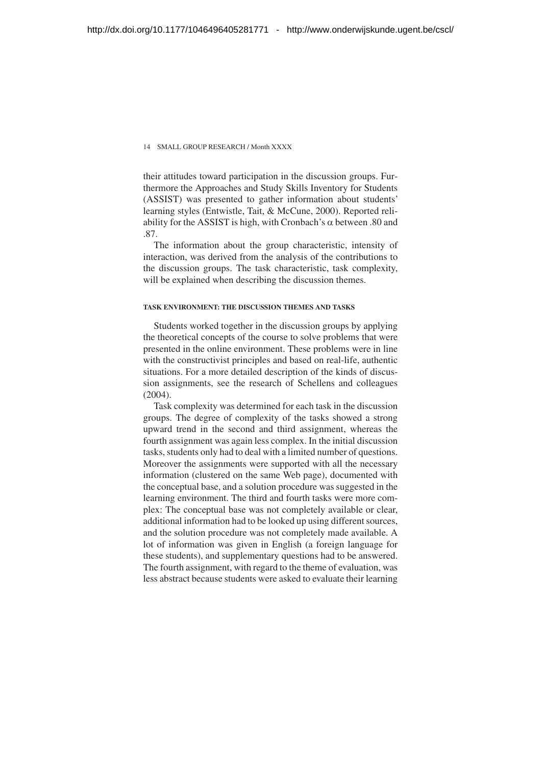their attitudes toward participation in the discussion groups. Furthermore the Approaches and Study Skills Inventory for Students (ASSIST) was presented to gather information about students' learning styles (Entwistle, Tait, & McCune, 2000). Reported reliability for the ASSIST is high, with Cronbach's  $\alpha$  between .80 and .87.

The information about the group characteristic, intensity of interaction, was derived from the analysis of the contributions to the discussion groups. The task characteristic, task complexity, will be explained when describing the discussion themes.

## **TASK ENVIRONMENT: THE DISCUSSION THEMES AND TASKS**

Students worked together in the discussion groups by applying the theoretical concepts of the course to solve problems that were presented in the online environment. These problems were in line with the constructivist principles and based on real-life, authentic situations. For a more detailed description of the kinds of discussion assignments, see the research of Schellens and colleagues (2004).

Task complexity was determined for each task in the discussion groups. The degree of complexity of the tasks showed a strong upward trend in the second and third assignment, whereas the fourth assignment was again less complex. In the initial discussion tasks, students only had to deal with a limited number of questions. Moreover the assignments were supported with all the necessary information (clustered on the same Web page), documented with the conceptual base, and a solution procedure was suggested in the learning environment. The third and fourth tasks were more complex: The conceptual base was not completely available or clear, additional information had to be looked up using different sources, and the solution procedure was not completely made available. A lot of information was given in English (a foreign language for these students), and supplementary questions had to be answered. The fourth assignment, with regard to the theme of evaluation, was less abstract because students were asked to evaluate their learning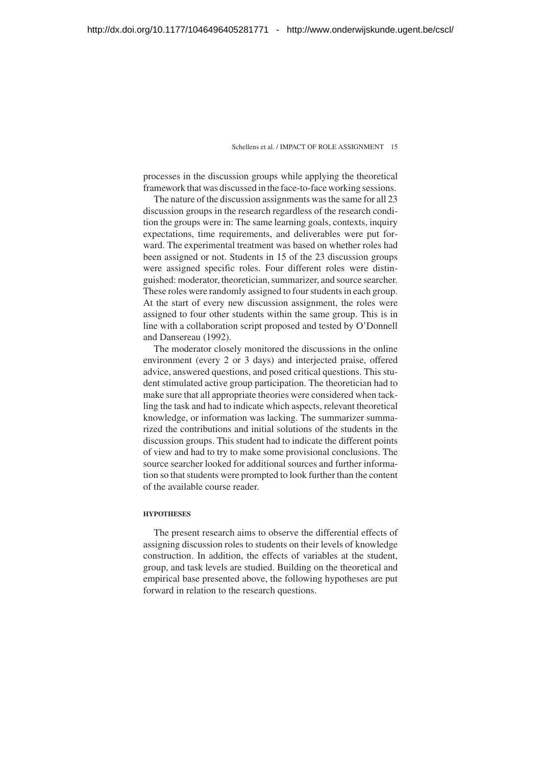processes in the discussion groups while applying the theoretical framework that was discussed in the face-to-face working sessions.

The nature of the discussion assignments was the same for all 23 discussion groups in the research regardless of the research condition the groups were in: The same learning goals, contexts, inquiry expectations, time requirements, and deliverables were put forward. The experimental treatment was based on whether roles had been assigned or not. Students in 15 of the 23 discussion groups were assigned specific roles. Four different roles were distinguished: moderator, theoretician, summarizer, and source searcher. These roles were randomly assigned to four students in each group. At the start of every new discussion assignment, the roles were assigned to four other students within the same group. This is in line with a collaboration script proposed and tested by O'Donnell and Dansereau (1992).

The moderator closely monitored the discussions in the online environment (every 2 or 3 days) and interjected praise, offered advice, answered questions, and posed critical questions. This student stimulated active group participation. The theoretician had to make sure that all appropriate theories were considered when tackling the task and had to indicate which aspects, relevant theoretical knowledge, or information was lacking. The summarizer summarized the contributions and initial solutions of the students in the discussion groups. This student had to indicate the different points of view and had to try to make some provisional conclusions. The source searcher looked for additional sources and further information so that students were prompted to look further than the content of the available course reader.

# **HYPOTHESES**

The present research aims to observe the differential effects of assigning discussion roles to students on their levels of knowledge construction. In addition, the effects of variables at the student, group, and task levels are studied. Building on the theoretical and empirical base presented above, the following hypotheses are put forward in relation to the research questions.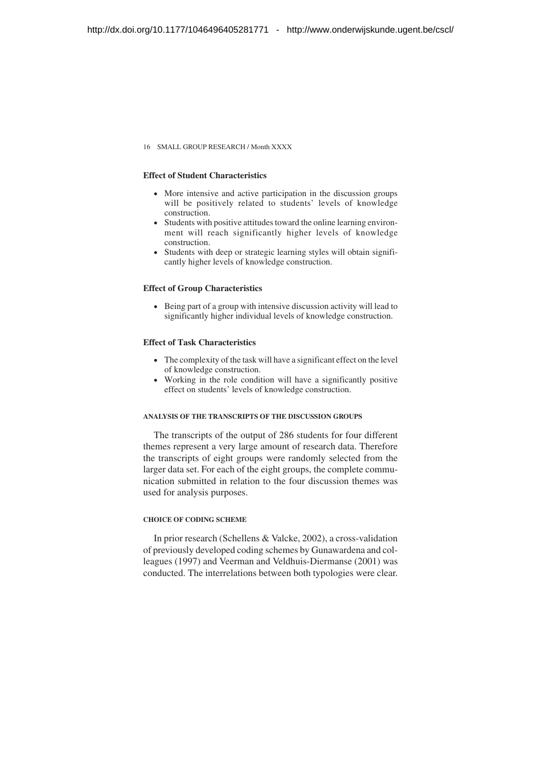## **Effect of Student Characteristics**

- More intensive and active participation in the discussion groups will be positively related to students' levels of knowledge construction.
- Students with positive attitudes toward the online learning environment will reach significantly higher levels of knowledge construction.
- Students with deep or strategic learning styles will obtain significantly higher levels of knowledge construction.

## **Effect of Group Characteristics**

- Being part of a group with intensive discussion activity will lead to significantly higher individual levels of knowledge construction.

## **Effect of Task Characteristics**

- The complexity of the task will have a significant effect on the level of knowledge construction.
- Working in the role condition will have a significantly positive effect on students' levels of knowledge construction.

## **ANALYSIS OF THE TRANSCRIPTS OF THE DISCUSSION GROUPS**

The transcripts of the output of 286 students for four different themes represent a very large amount of research data. Therefore the transcripts of eight groups were randomly selected from the larger data set. For each of the eight groups, the complete communication submitted in relation to the four discussion themes was used for analysis purposes.

## **CHOICE OF CODING SCHEME**

In prior research (Schellens & Valcke, 2002), a cross-validation of previously developed coding schemes by Gunawardena and colleagues (1997) and Veerman and Veldhuis-Diermanse (2001) was conducted. The interrelations between both typologies were clear.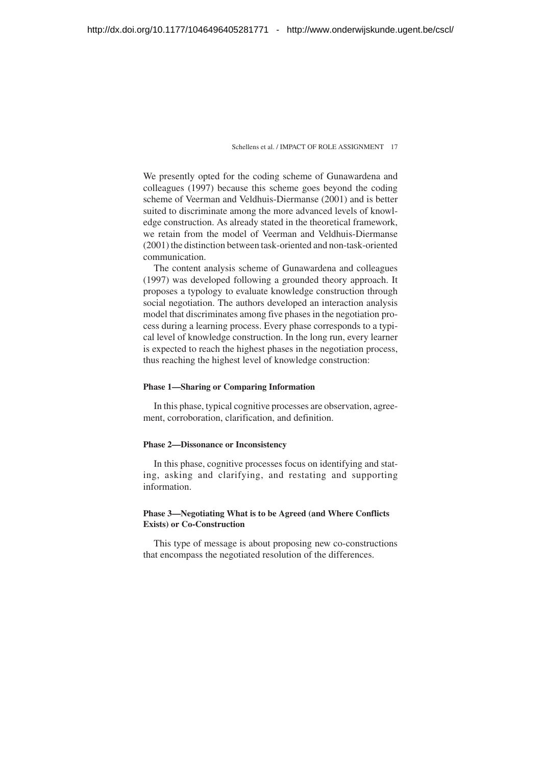We presently opted for the coding scheme of Gunawardena and colleagues (1997) because this scheme goes beyond the coding scheme of Veerman and Veldhuis-Diermanse (2001) and is better suited to discriminate among the more advanced levels of knowledge construction. As already stated in the theoretical framework, we retain from the model of Veerman and Veldhuis-Diermanse (2001) the distinction between task-oriented and non-task-oriented communication.

The content analysis scheme of Gunawardena and colleagues (1997) was developed following a grounded theory approach. It proposes a typology to evaluate knowledge construction through social negotiation. The authors developed an interaction analysis model that discriminates among five phases in the negotiation process during a learning process. Every phase corresponds to a typical level of knowledge construction. In the long run, every learner is expected to reach the highest phases in the negotiation process, thus reaching the highest level of knowledge construction:

## **Phase 1—Sharing or Comparing Information**

In this phase, typical cognitive processes are observation, agreement, corroboration, clarification, and definition.

## **Phase 2—Dissonance or Inconsistency**

In this phase, cognitive processes focus on identifying and stating, asking and clarifying, and restating and supporting information.

# **Phase 3—Negotiating What is to be Agreed (and Where Conflicts Exists) or Co-Construction**

This type of message is about proposing new co-constructions that encompass the negotiated resolution of the differences.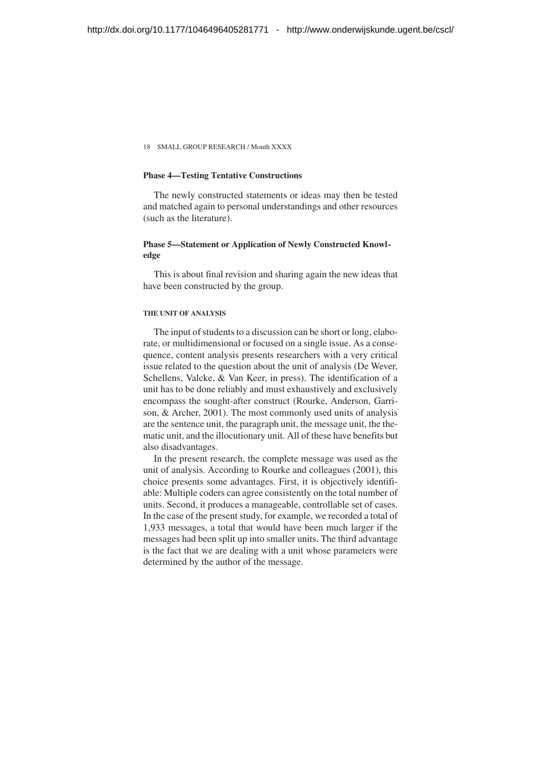## **Phase 4—Testing Tentative Constructions**

The newly constructed statements or ideas may then be tested and matched again to personal understandings and other resources (such as the literature).

# **Phase 5—Statement or Application of Newly Constructed Knowledge**

This is about final revision and sharing again the new ideas that have been constructed by the group.

## **THE UNIT OF ANALYSIS**

The input of students to a discussion can be short or long, elaborate, or multidimensional or focused on a single issue. As a consequence, content analysis presents researchers with a very critical issue related to the question about the unit of analysis (De Wever, Schellens, Valcke, & Van Keer, in press). The identification of a unit has to be done reliably and must exhaustively and exclusively encompass the sought-after construct (Rourke, Anderson, Garrison, & Archer, 2001). The most commonly used units of analysis are the sentence unit, the paragraph unit, the message unit, the thematic unit, and the illocutionary unit. All of these have benefits but also disadvantages.

In the present research, the complete message was used as the unit of analysis. According to Rourke and colleagues (2001), this choice presents some advantages. First, it is objectively identifiable: Multiple coders can agree consistently on the total number of units. Second, it produces a manageable, controllable set of cases. In the case of the present study, for example, we recorded a total of 1,933 messages, a total that would have been much larger if the messages had been split up into smaller units. The third advantage is the fact that we are dealing with a unit whose parameters were determined by the author of the message.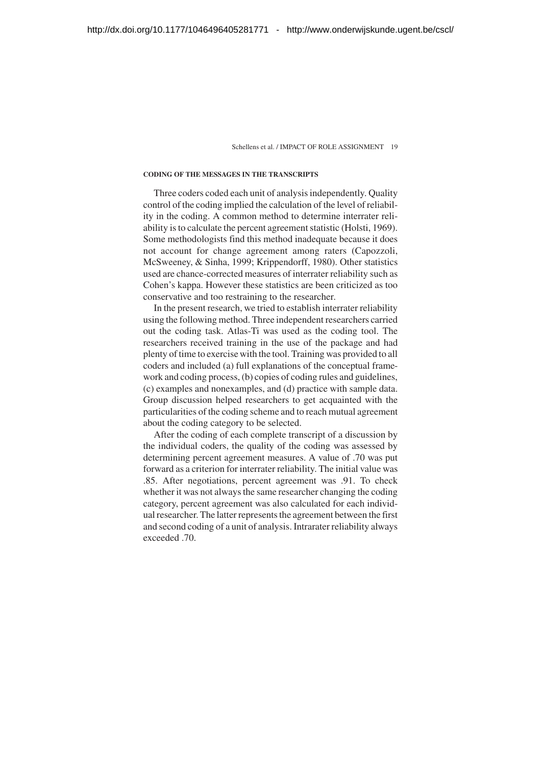## **CODING OF THE MESSAGES IN THE TRANSCRIPTS**

Three coders coded each unit of analysis independently. Quality control of the coding implied the calculation of the level of reliability in the coding. A common method to determine interrater reliability is to calculate the percent agreement statistic (Holsti, 1969). Some methodologists find this method inadequate because it does not account for change agreement among raters (Capozzoli, McSweeney, & Sinha, 1999; Krippendorff, 1980). Other statistics used are chance-corrected measures of interrater reliability such as Cohen's kappa. However these statistics are been criticized as too conservative and too restraining to the researcher.

In the present research, we tried to establish interrater reliability using the following method. Three independent researchers carried out the coding task. Atlas-Ti was used as the coding tool. The researchers received training in the use of the package and had plenty of time to exercise with the tool. Training was provided to all coders and included (a) full explanations of the conceptual framework and coding process, (b) copies of coding rules and guidelines, (c) examples and nonexamples, and (d) practice with sample data. Group discussion helped researchers to get acquainted with the particularities of the coding scheme and to reach mutual agreement about the coding category to be selected.

After the coding of each complete transcript of a discussion by the individual coders, the quality of the coding was assessed by determining percent agreement measures. A value of .70 was put forward as a criterion for interrater reliability. The initial value was .85. After negotiations, percent agreement was .91. To check whether it was not always the same researcher changing the coding category, percent agreement was also calculated for each individual researcher. The latter represents the agreement between the first and second coding of a unit of analysis. Intrarater reliability always exceeded .70.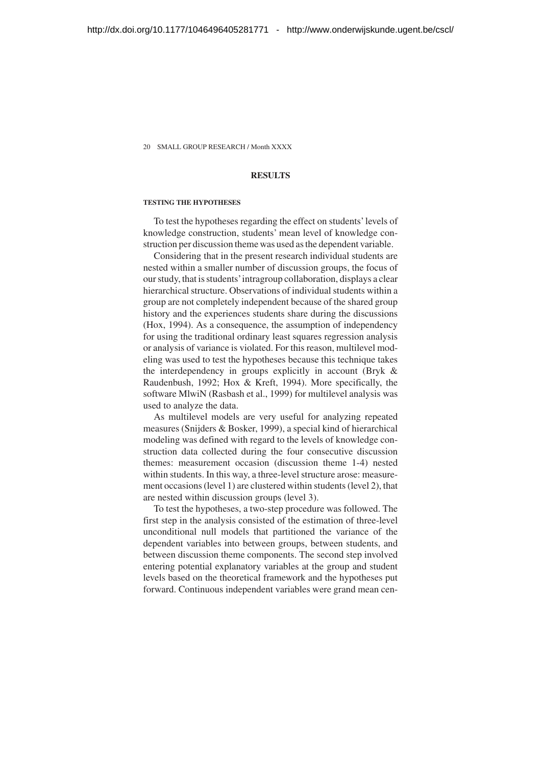## **RESULTS**

## **TESTING THE HYPOTHESES**

To test the hypotheses regarding the effect on students' levels of knowledge construction, students' mean level of knowledge construction per discussion theme was used as the dependent variable.

Considering that in the present research individual students are nested within a smaller number of discussion groups, the focus of our study, that is students'intragroup collaboration, displays a clear hierarchical structure. Observations of individual students within a group are not completely independent because of the shared group history and the experiences students share during the discussions (Hox, 1994). As a consequence, the assumption of independency for using the traditional ordinary least squares regression analysis or analysis of variance is violated. For this reason, multilevel modeling was used to test the hypotheses because this technique takes the interdependency in groups explicitly in account (Bryk & Raudenbush, 1992; Hox & Kreft, 1994). More specifically, the software MlwiN (Rasbash et al., 1999) for multilevel analysis was used to analyze the data.

As multilevel models are very useful for analyzing repeated measures (Snijders & Bosker, 1999), a special kind of hierarchical modeling was defined with regard to the levels of knowledge construction data collected during the four consecutive discussion themes: measurement occasion (discussion theme 1-4) nested within students. In this way, a three-level structure arose: measurement occasions (level 1) are clustered within students (level 2), that are nested within discussion groups (level 3).

To test the hypotheses, a two-step procedure was followed. The first step in the analysis consisted of the estimation of three-level unconditional null models that partitioned the variance of the dependent variables into between groups, between students, and between discussion theme components. The second step involved entering potential explanatory variables at the group and student levels based on the theoretical framework and the hypotheses put forward. Continuous independent variables were grand mean cen-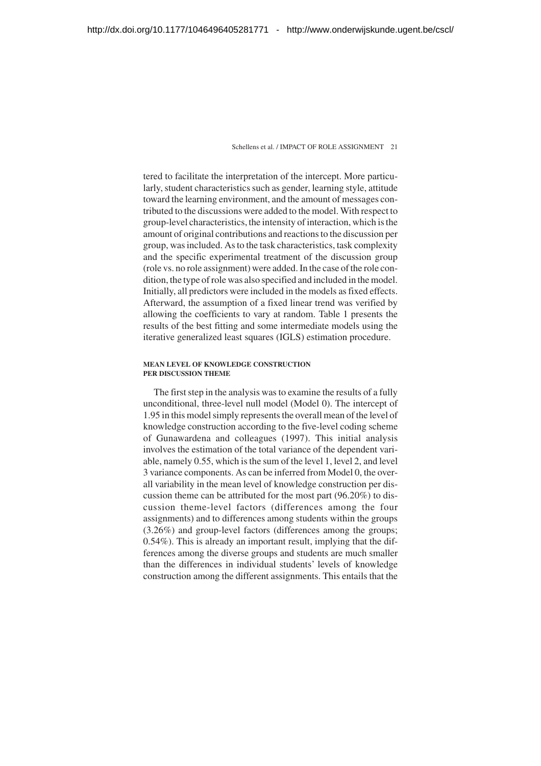tered to facilitate the interpretation of the intercept. More particularly, student characteristics such as gender, learning style, attitude toward the learning environment, and the amount of messages contributed to the discussions were added to the model. With respect to group-level characteristics, the intensity of interaction, which is the amount of original contributions and reactions to the discussion per group, was included. As to the task characteristics, task complexity and the specific experimental treatment of the discussion group (role vs. no role assignment) were added. In the case of the role condition, the type of role was also specified and included in the model. Initially, all predictors were included in the models as fixed effects. Afterward, the assumption of a fixed linear trend was verified by allowing the coefficients to vary at random. Table 1 presents the results of the best fitting and some intermediate models using the iterative generalized least squares (IGLS) estimation procedure.

## **MEAN LEVEL OF KNOWLEDGE CONSTRUCTION PER DISCUSSION THEME**

The first step in the analysis was to examine the results of a fully unconditional, three-level null model (Model 0). The intercept of 1.95 in this model simply represents the overall mean of the level of knowledge construction according to the five-level coding scheme of Gunawardena and colleagues (1997). This initial analysis involves the estimation of the total variance of the dependent variable, namely 0.55, which is the sum of the level 1, level 2, and level 3 variance components. As can be inferred from Model 0, the overall variability in the mean level of knowledge construction per discussion theme can be attributed for the most part (96.20%) to discussion theme-level factors (differences among the four assignments) and to differences among students within the groups (3.26%) and group-level factors (differences among the groups; 0.54%). This is already an important result, implying that the differences among the diverse groups and students are much smaller than the differences in individual students' levels of knowledge construction among the different assignments. This entails that the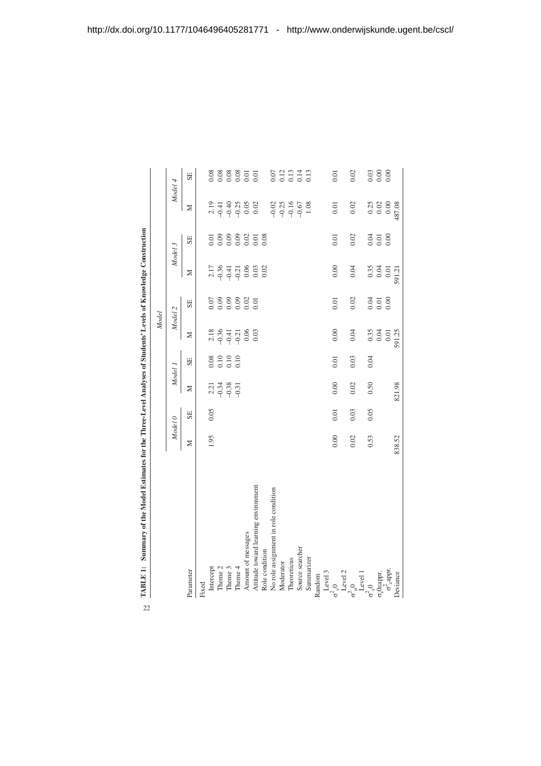|                                                                                                            |        |         |                                                              |                  |                                             | Model                                                   |                                                               |            |                                                                    |                                      |
|------------------------------------------------------------------------------------------------------------|--------|---------|--------------------------------------------------------------|------------------|---------------------------------------------|---------------------------------------------------------|---------------------------------------------------------------|------------|--------------------------------------------------------------------|--------------------------------------|
|                                                                                                            |        | Model 0 |                                                              | Model 1          |                                             | Model 2                                                 |                                                               | Model3     |                                                                    | Model 4                              |
| Parameter                                                                                                  | Σ      | SE      | Σ                                                            | SE               | Σ                                           | SE                                                      | Σ                                                             | SE         | Σ                                                                  | SE                                   |
| Fixed                                                                                                      |        |         |                                                              |                  |                                             |                                                         |                                                               |            |                                                                    |                                      |
| Intercept                                                                                                  | 1.95   | 0.05    |                                                              |                  |                                             |                                                         |                                                               |            |                                                                    | 0.08                                 |
| Theme 2                                                                                                    |        |         |                                                              |                  |                                             |                                                         |                                                               |            |                                                                    |                                      |
| Theme 3                                                                                                    |        |         | $\begin{array}{c} 74 \\ 40 \\ 50 \\ 50 \\ 60 \\ \end{array}$ | $0.10$<br>$0.10$ | $2.18$<br>$0.36$<br>$0.41$<br>$0.21$        |                                                         |                                                               |            |                                                                    |                                      |
| Theme 4                                                                                                    |        |         |                                                              | 0.10             |                                             | 588885<br>0000000                                       | 17<br>1364 118<br>1900 000                                    |            | $2.44$<br>$2.44$<br>$2.44$<br>$2.46$<br>$2.56$<br>$2.56$<br>$2.56$ | 0.08<br>0.08<br>0.01<br>0.01         |
| Amount of messages                                                                                         |        |         |                                                              |                  | $\begin{array}{c} 0.06 \\ 0.03 \end{array}$ |                                                         |                                                               |            |                                                                    |                                      |
| Attitude toward learning environment                                                                       |        |         |                                                              |                  |                                             |                                                         |                                                               |            |                                                                    |                                      |
| Role condition                                                                                             |        |         |                                                              |                  |                                             |                                                         |                                                               |            |                                                                    |                                      |
| No role assignment in role condition                                                                       |        |         |                                                              |                  |                                             |                                                         |                                                               |            | $-0.02$                                                            |                                      |
| Moderator                                                                                                  |        |         |                                                              |                  |                                             |                                                         |                                                               |            |                                                                    |                                      |
| Theoreticus                                                                                                |        |         |                                                              |                  |                                             |                                                         |                                                               |            | $-0.25$<br>$-0.16$<br>$-0.67$<br>$-1.08$                           | 0.07<br>0.13<br>0.13<br>0.13<br>0.13 |
| Source searcher                                                                                            |        |         |                                                              |                  |                                             |                                                         |                                                               |            |                                                                    |                                      |
| Summarizer                                                                                                 |        |         |                                                              |                  |                                             |                                                         |                                                               |            |                                                                    |                                      |
| Random                                                                                                     |        |         |                                                              |                  |                                             |                                                         |                                                               |            |                                                                    |                                      |
|                                                                                                            |        |         |                                                              |                  |                                             |                                                         |                                                               |            |                                                                    |                                      |
| Level 3<br>$\sigma_{\gamma 0}^2$                                                                           | 0.00   | 0.01    | 0.00                                                         | 0.01             | 0.00                                        | 0.01                                                    | 0.00                                                          | 0.01       | 0.01                                                               | 0.01                                 |
|                                                                                                            |        |         |                                                              |                  |                                             |                                                         |                                                               |            |                                                                    |                                      |
|                                                                                                            | 0.02   | 0.03    | 0.02                                                         | 0.03             | 0.04                                        | 0.02                                                    | 0.04                                                          | 0.02       | 0.02                                                               | 0.02                                 |
|                                                                                                            |        |         |                                                              |                  |                                             |                                                         |                                                               |            |                                                                    |                                      |
| $\begin{array}{l} \text{Level 2} \\ \sigma_{\mu0}^2 \\ \text{Level 1} \\ \sigma_{\epsilon0}^2 \end{array}$ | 0.53   | 0.05    | 0.50                                                         | 0.04             | $0.35$<br>0.04                              |                                                         |                                                               |            |                                                                    |                                      |
| $\sigma_{\rm \scriptscriptstyle E}0$ gappr.                                                                |        |         |                                                              |                  |                                             | $\begin{array}{c} 25 & 0 \\ 0 & 0 \\ 0 & 0 \end{array}$ | $\begin{array}{c} 0.35 \\ 0.04 \\ 0.01 \\ 591.21 \end{array}$ | 358<br>000 | $0.25$<br>$0.02$                                                   | $0.03$<br>$0.00$                     |
| $\sigma^{^{\prime}}{}_{\varepsilon}$ appr.                                                                 |        |         |                                                              |                  | 0.01                                        |                                                         |                                                               |            | $0.000$<br>487.08                                                  |                                      |
| Deviance                                                                                                   | 838.52 |         | 821.98                                                       |                  | 591.25                                      |                                                         |                                                               |            |                                                                    |                                      |

TABLE 1: Summary of the Model Estimates for the Three-Level Analyses of Students' Levels of Knowledge Construction 22**TABLE 1: Summary of the Model Estimates for the Three-Level Analyses of Students' Levels of Knowledge Construction**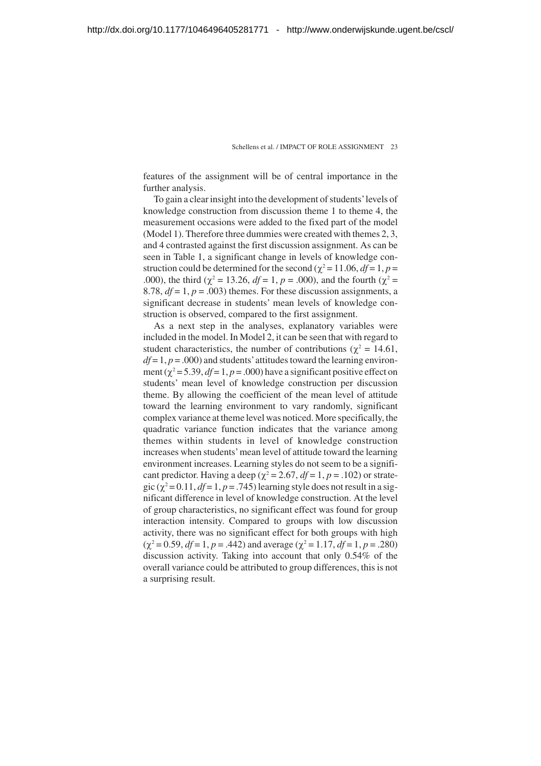features of the assignment will be of central importance in the further analysis.

To gain a clear insight into the development of students'levels of knowledge construction from discussion theme 1 to theme 4, the measurement occasions were added to the fixed part of the model (Model 1). Therefore three dummies were created with themes 2, 3, and 4 contrasted against the first discussion assignment. As can be seen in Table 1, a significant change in levels of knowledge construction could be determined for the second ( $\chi^2 = 11.06$ ,  $df = 1$ ,  $p =$ .000), the third ( $\chi^2 = 13.26$ ,  $df = 1$ ,  $p = .000$ ), and the fourth ( $\chi^2 =$ 8.78,  $df = 1$ ,  $p = .003$ ) themes. For these discussion assignments, a significant decrease in students' mean levels of knowledge construction is observed, compared to the first assignment.

As a next step in the analyses, explanatory variables were included in the model. In Model 2, it can be seen that with regard to student characteristics, the number of contributions ( $\chi^2 = 14.61$ ,  $df = 1, p = .000$  and students' attitudes toward the learning environment ( $\chi^2$  = 5.39, *df* = 1, *p* = .000) have a significant positive effect on students' mean level of knowledge construction per discussion theme. By allowing the coefficient of the mean level of attitude toward the learning environment to vary randomly, significant complex variance at theme level was noticed. More specifically, the quadratic variance function indicates that the variance among themes within students in level of knowledge construction increases when students'mean level of attitude toward the learning environment increases. Learning styles do not seem to be a significant predictor. Having a deep ( $\chi^2 = 2.67$ ,  $df = 1$ ,  $p = .102$ ) or strategic ( $\gamma^2$  = 0.11, *df* = 1, *p* = .745) learning style does not result in a significant difference in level of knowledge construction. At the level of group characteristics, no significant effect was found for group interaction intensity. Compared to groups with low discussion activity, there was no significant effect for both groups with high  $(\chi^2 = 0.59, df = 1, p = .442)$  and average  $(\chi^2 = 1.17, df = 1, p = .280)$ discussion activity. Taking into account that only 0.54% of the overall variance could be attributed to group differences, this is not a surprising result.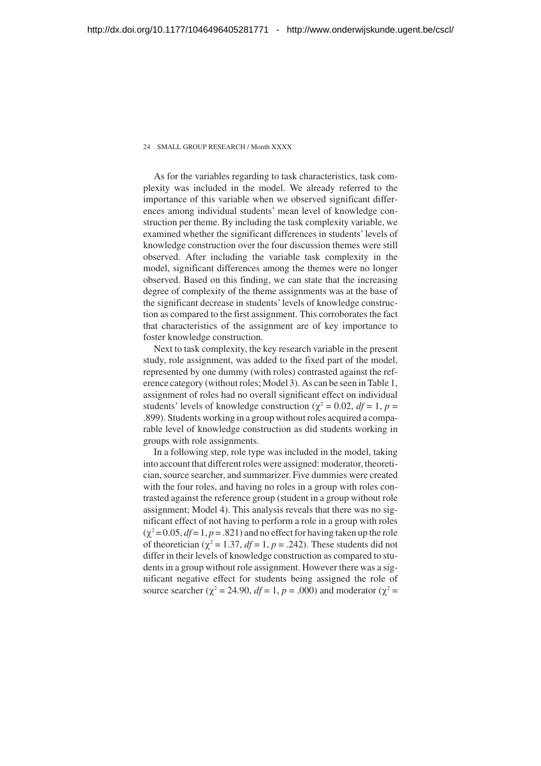As for the variables regarding to task characteristics, task complexity was included in the model. We already referred to the importance of this variable when we observed significant differences among individual students' mean level of knowledge construction per theme. By including the task complexity variable, we examined whether the significant differences in students' levels of knowledge construction over the four discussion themes were still observed. After including the variable task complexity in the model, significant differences among the themes were no longer observed. Based on this finding, we can state that the increasing degree of complexity of the theme assignments was at the base of the significant decrease in students' levels of knowledge construction as compared to the first assignment. This corroborates the fact that characteristics of the assignment are of key importance to foster knowledge construction.

Next to task complexity, the key research variable in the present study, role assignment, was added to the fixed part of the model, represented by one dummy (with roles) contrasted against the reference category (without roles; Model 3). As can be seen in Table 1, assignment of roles had no overall significant effect on individual students' levels of knowledge construction ( $\chi^2 = 0.02$ ,  $df = 1$ ,  $p =$ .899). Students working in a group without roles acquired a comparable level of knowledge construction as did students working in groups with role assignments.

In a following step, role type was included in the model, taking into account that different roles were assigned: moderator, theoretician, source searcher, and summarizer. Five dummies were created with the four roles, and having no roles in a group with roles contrasted against the reference group (student in a group without role assignment; Model 4). This analysis reveals that there was no significant effect of not having to perform a role in a group with roles  $(\chi^2 = 0.05, df = 1, p = .821)$  and no effect for having taken up the role of theoretician ( $\chi^2$  = 1.37, *df* = 1, *p* = .242). These students did not differ in their levels of knowledge construction as compared to students in a group without role assignment. However there was a significant negative effect for students being assigned the role of source searcher ( $\chi^2$  = 24.90, *df* = 1, *p* = .000) and moderator ( $\chi^2$  =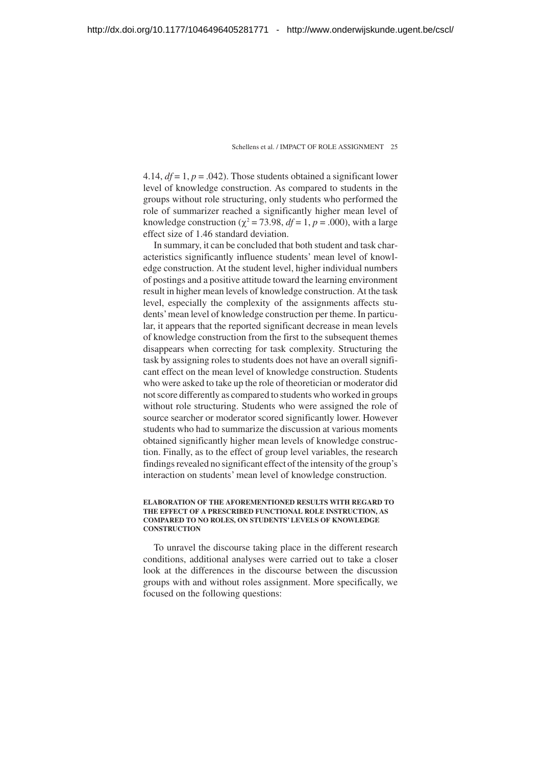4.14,  $df = 1$ ,  $p = .042$ ). Those students obtained a significant lower level of knowledge construction. As compared to students in the groups without role structuring, only students who performed the role of summarizer reached a significantly higher mean level of knowledge construction ( $\chi^2$  = 73.98, *df* = 1, *p* = .000), with a large effect size of 1.46 standard deviation.

In summary, it can be concluded that both student and task characteristics significantly influence students' mean level of knowledge construction. At the student level, higher individual numbers of postings and a positive attitude toward the learning environment result in higher mean levels of knowledge construction. At the task level, especially the complexity of the assignments affects students'mean level of knowledge construction per theme. In particular, it appears that the reported significant decrease in mean levels of knowledge construction from the first to the subsequent themes disappears when correcting for task complexity. Structuring the task by assigning roles to students does not have an overall significant effect on the mean level of knowledge construction. Students who were asked to take up the role of theoretician or moderator did not score differently as compared to students who worked in groups without role structuring. Students who were assigned the role of source searcher or moderator scored significantly lower. However students who had to summarize the discussion at various moments obtained significantly higher mean levels of knowledge construction. Finally, as to the effect of group level variables, the research findings revealed no significant effect of the intensity of the group's interaction on students' mean level of knowledge construction.

## **ELABORATION OF THE AFOREMENTIONED RESULTS WITH REGARD TO THE EFFECT OF A PRESCRIBED FUNCTIONAL ROLE INSTRUCTION, AS COMPARED TO NO ROLES, ON STUDENTS' LEVELS OF KNOWLEDGE CONSTRUCTION**

To unravel the discourse taking place in the different research conditions, additional analyses were carried out to take a closer look at the differences in the discourse between the discussion groups with and without roles assignment. More specifically, we focused on the following questions: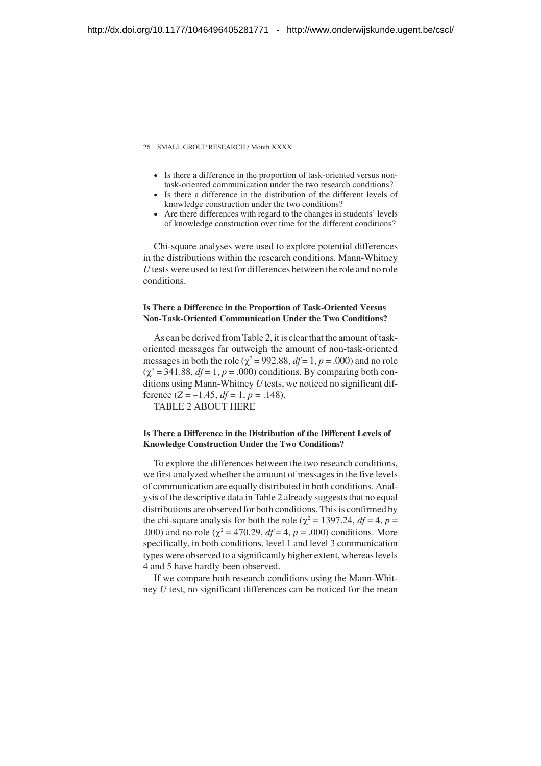- Is there a difference in the proportion of task-oriented versus nontask-oriented communication under the two research conditions?
- Is there a difference in the distribution of the different levels of knowledge construction under the two conditions?
- Are there differences with regard to the changes in students' levels of knowledge construction over time for the different conditions?

Chi-square analyses were used to explore potential differences in the distributions within the research conditions. Mann-Whitney *U* tests were used to test for differences between the role and no role conditions.

## **Is There a Difference in the Proportion of Task-Oriented Versus Non-Task-Oriented Communication Under the Two Conditions?**

As can be derived from Table 2, it is clear that the amount of taskoriented messages far outweigh the amount of non-task-oriented messages in both the role ( $\chi^2$  = 992.88,  $df$  = 1,  $p$  = .000) and no role  $(\chi^2 = 341.88, df = 1, p = .000)$  conditions. By comparing both conditions using Mann-Whitney *U* tests, we noticed no significant difference  $(Z = -1.45, df = 1, p = .148)$ .

TABLE 2 ABOUT HERE

## **Is There a Difference in the Distribution of the Different Levels of Knowledge Construction Under the Two Conditions?**

To explore the differences between the two research conditions, we first analyzed whether the amount of messages in the five levels of communication are equally distributed in both conditions. Analysis of the descriptive data in Table 2 already suggests that no equal distributions are observed for both conditions. This is confirmed by the chi-square analysis for both the role ( $\chi^2$  = 1397.24, *df* = 4, *p* = .000) and no role ( $\chi^2$  = 470.29, *df* = 4, *p* = .000) conditions. More specifically, in both conditions, level 1 and level 3 communication types were observed to a significantly higher extent, whereas levels 4 and 5 have hardly been observed.

If we compare both research conditions using the Mann-Whitney *U* test, no significant differences can be noticed for the mean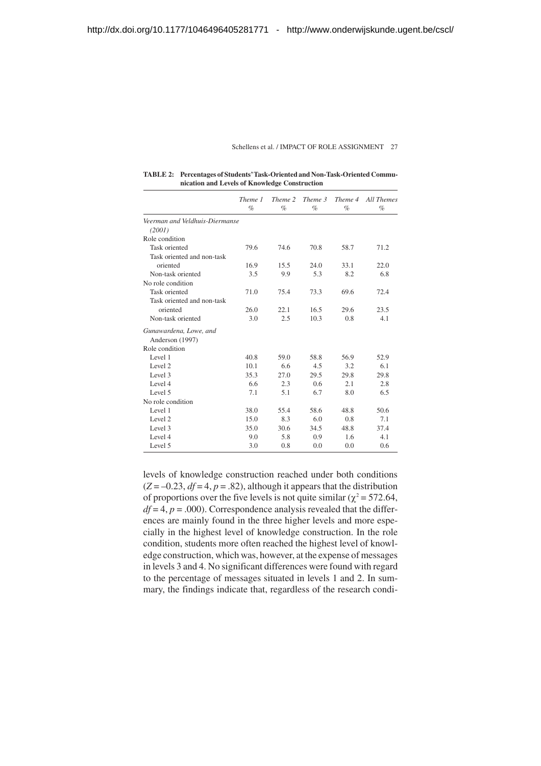| TABLE 2: Percentages of Students' Task-Oriented and Non-Task-Oriented Commu- |
|------------------------------------------------------------------------------|
| nication and Levels of Knowledge Construction                                |

|                                | Theme 1<br>$\%$ | Theme 2<br>$\%$ | Theme 3<br>$\%$ | Theme 4<br>$\%$ | All Themes<br>$\%$ |
|--------------------------------|-----------------|-----------------|-----------------|-----------------|--------------------|
| Veerman and Veldhuis-Diermanse |                 |                 |                 |                 |                    |
| (2001)                         |                 |                 |                 |                 |                    |
| Role condition                 |                 |                 |                 |                 |                    |
| Task oriented                  | 79.6            | 74.6            | 70.8            | 58.7            | 71.2               |
| Task oriented and non-task     |                 |                 |                 |                 |                    |
| oriented                       | 16.9            | 15.5            | 24.0            | 33.1            | 22.0               |
| Non-task oriented              | 3.5             | 9.9             | 5.3             | 8.2             | 6.8                |
| No role condition              |                 |                 |                 |                 |                    |
| Task oriented                  | 71.0            | 75.4            | 73.3            | 69.6            | 72.4               |
| Task oriented and non-task     |                 |                 |                 |                 |                    |
| oriented                       | 26.0            | 22.1            | 16.5            | 29.6            | 23.5               |
| Non-task oriented              | 3.0             | 2.5             | 10.3            | 0.8             | 4.1                |
| Gunawardena, Lowe, and         |                 |                 |                 |                 |                    |
| Anderson (1997)                |                 |                 |                 |                 |                    |
| Role condition                 |                 |                 |                 |                 |                    |
| Level 1                        | 40.8            | 59.0            | 58.8            | 56.9            | 52.9               |
| Level 2                        | 10.1            | 6.6             | 4.5             | 3.2             | 6.1                |
| Level 3                        | 35.3            | 27.0            | 29.5            | 29.8            | 29.8               |
| Level 4                        | 6.6             | 2.3             | 0.6             | 2.1             | 2.8                |
| Level 5                        | 7.1             | 5.1             | 6.7             | 8.0             | 6.5                |
| No role condition              |                 |                 |                 |                 |                    |
| Level 1                        | 38.0            | 55.4            | 58.6            | 48.8            | 50.6               |
| Level 2                        | 15.0            | 8.3             | 6.0             | 0.8             | 7.1                |
| Level 3                        | 35.0            | 30.6            | 34.5            | 48.8            | 37.4               |
| Level 4                        | 9.0             | 5.8             | 0.9             | 1.6             | 4.1                |
| Level 5                        | 3.0             | 0.8             | 0.0             | 0.0             | 0.6                |

levels of knowledge construction reached under both conditions  $(Z = -0.23, df = 4, p = .82)$ , although it appears that the distribution of proportions over the five levels is not quite similar ( $\chi^2$  = 572.64,  $df = 4$ ,  $p = .000$ ). Correspondence analysis revealed that the differences are mainly found in the three higher levels and more especially in the highest level of knowledge construction. In the role condition, students more often reached the highest level of knowledge construction, which was, however, at the expense of messages in levels 3 and 4. No significant differences were found with regard to the percentage of messages situated in levels 1 and 2. In summary, the findings indicate that, regardless of the research condi-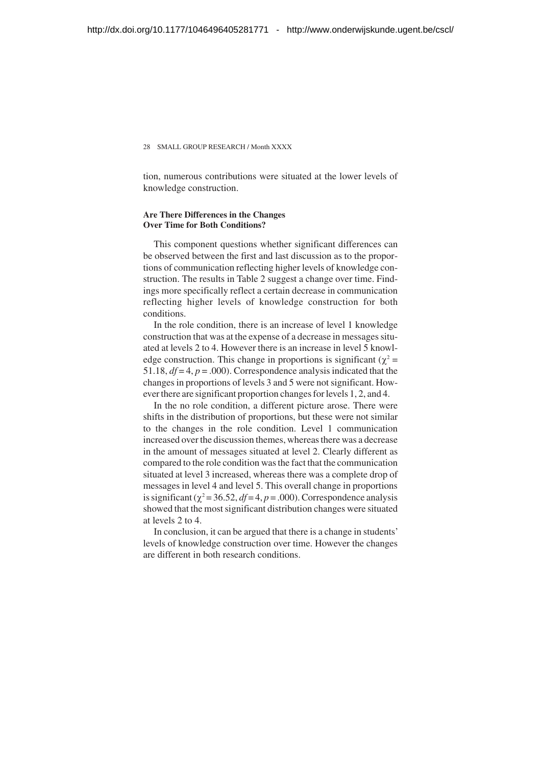tion, numerous contributions were situated at the lower levels of knowledge construction.

# **Are There Differences in the Changes Over Time for Both Conditions?**

This component questions whether significant differences can be observed between the first and last discussion as to the proportions of communication reflecting higher levels of knowledge construction. The results in Table 2 suggest a change over time. Findings more specifically reflect a certain decrease in communication reflecting higher levels of knowledge construction for both conditions.

In the role condition, there is an increase of level 1 knowledge construction that was at the expense of a decrease in messages situated at levels 2 to 4. However there is an increase in level 5 knowledge construction. This change in proportions is significant ( $\gamma^2$  = 51.18,  $df = 4$ ,  $p = .000$ ). Correspondence analysis indicated that the changes in proportions of levels 3 and 5 were not significant. However there are significant proportion changes for levels 1, 2, and 4.

In the no role condition, a different picture arose. There were shifts in the distribution of proportions, but these were not similar to the changes in the role condition. Level 1 communication increased over the discussion themes, whereas there was a decrease in the amount of messages situated at level 2. Clearly different as compared to the role condition was the fact that the communication situated at level 3 increased, whereas there was a complete drop of messages in level 4 and level 5. This overall change in proportions is significant ( $\chi^2$  = 36.52, *df* = 4, *p* = .000). Correspondence analysis showed that the most significant distribution changes were situated at levels 2 to 4.

In conclusion, it can be argued that there is a change in students' levels of knowledge construction over time. However the changes are different in both research conditions.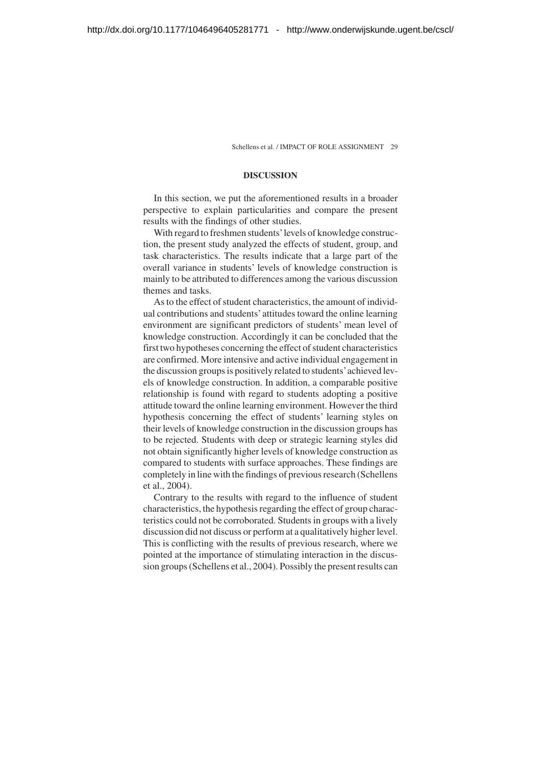## **DISCUSSION**

In this section, we put the aforementioned results in a broader perspective to explain particularities and compare the present results with the findings of other studies.

With regard to freshmen students'levels of knowledge construction, the present study analyzed the effects of student, group, and task characteristics. The results indicate that a large part of the overall variance in students' levels of knowledge construction is mainly to be attributed to differences among the various discussion themes and tasks.

As to the effect of student characteristics, the amount of individual contributions and students'attitudes toward the online learning environment are significant predictors of students' mean level of knowledge construction. Accordingly it can be concluded that the first two hypotheses concerning the effect of student characteristics are confirmed. More intensive and active individual engagement in the discussion groups is positively related to students'achieved levels of knowledge construction. In addition, a comparable positive relationship is found with regard to students adopting a positive attitude toward the online learning environment. However the third hypothesis concerning the effect of students' learning styles on their levels of knowledge construction in the discussion groups has to be rejected. Students with deep or strategic learning styles did not obtain significantly higher levels of knowledge construction as compared to students with surface approaches. These findings are completely in line with the findings of previous research (Schellens et al., 2004).

Contrary to the results with regard to the influence of student characteristics, the hypothesis regarding the effect of group characteristics could not be corroborated. Students in groups with a lively discussion did not discuss or perform at a qualitatively higher level. This is conflicting with the results of previous research, where we pointed at the importance of stimulating interaction in the discussion groups (Schellens et al., 2004). Possibly the present results can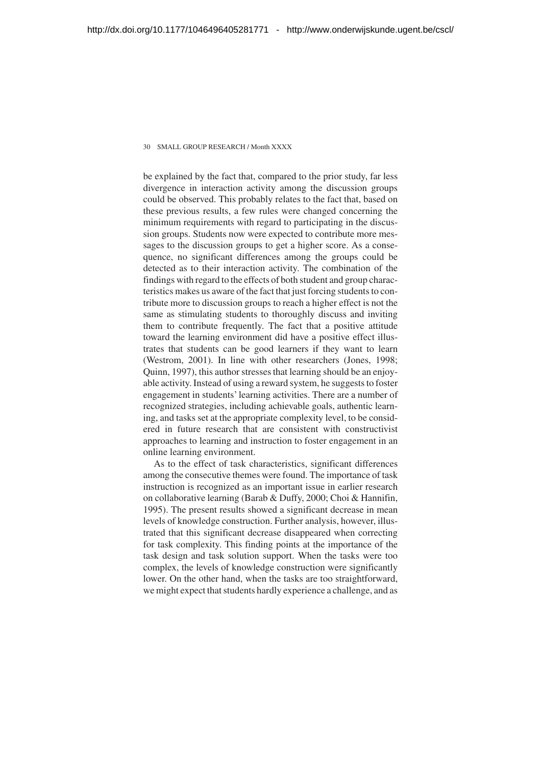be explained by the fact that, compared to the prior study, far less divergence in interaction activity among the discussion groups could be observed. This probably relates to the fact that, based on these previous results, a few rules were changed concerning the minimum requirements with regard to participating in the discussion groups. Students now were expected to contribute more messages to the discussion groups to get a higher score. As a consequence, no significant differences among the groups could be detected as to their interaction activity. The combination of the findings with regard to the effects of both student and group characteristics makes us aware of the fact that just forcing students to contribute more to discussion groups to reach a higher effect is not the same as stimulating students to thoroughly discuss and inviting them to contribute frequently. The fact that a positive attitude toward the learning environment did have a positive effect illustrates that students can be good learners if they want to learn (Westrom, 2001). In line with other researchers (Jones, 1998; Quinn, 1997), this author stresses that learning should be an enjoyable activity. Instead of using a reward system, he suggests to foster engagement in students' learning activities. There are a number of recognized strategies, including achievable goals, authentic learning, and tasks set at the appropriate complexity level, to be considered in future research that are consistent with constructivist approaches to learning and instruction to foster engagement in an online learning environment.

As to the effect of task characteristics, significant differences among the consecutive themes were found. The importance of task instruction is recognized as an important issue in earlier research on collaborative learning (Barab & Duffy, 2000; Choi & Hannifin, 1995). The present results showed a significant decrease in mean levels of knowledge construction. Further analysis, however, illustrated that this significant decrease disappeared when correcting for task complexity. This finding points at the importance of the task design and task solution support. When the tasks were too complex, the levels of knowledge construction were significantly lower. On the other hand, when the tasks are too straightforward, we might expect that students hardly experience a challenge, and as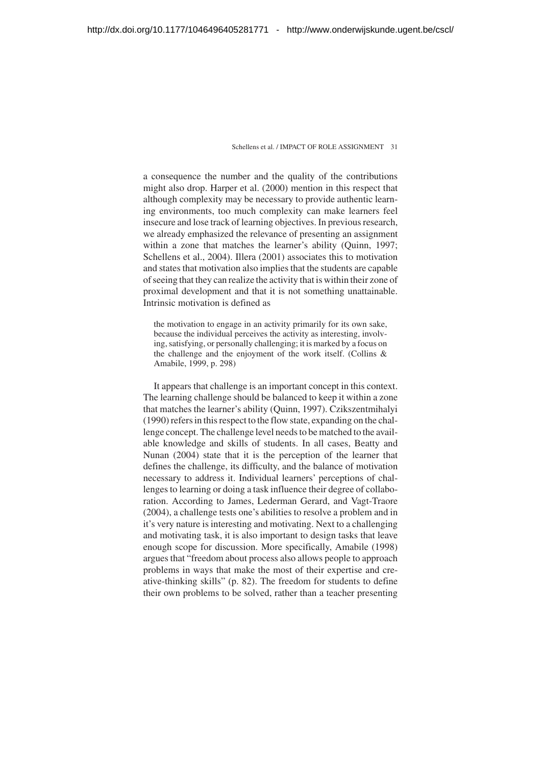a consequence the number and the quality of the contributions might also drop. Harper et al. (2000) mention in this respect that although complexity may be necessary to provide authentic learning environments, too much complexity can make learners feel insecure and lose track of learning objectives. In previous research, we already emphasized the relevance of presenting an assignment within a zone that matches the learner's ability (Quinn, 1997; Schellens et al., 2004). Illera (2001) associates this to motivation and states that motivation also implies that the students are capable of seeing that they can realize the activity that is within their zone of proximal development and that it is not something unattainable. Intrinsic motivation is defined as

the motivation to engage in an activity primarily for its own sake, because the individual perceives the activity as interesting, involving, satisfying, or personally challenging; it is marked by a focus on the challenge and the enjoyment of the work itself. (Collins & Amabile, 1999, p. 298)

It appears that challenge is an important concept in this context. The learning challenge should be balanced to keep it within a zone that matches the learner's ability (Quinn, 1997). Czikszentmihalyi (1990) refers in this respect to the flow state, expanding on the challenge concept. The challenge level needs to be matched to the available knowledge and skills of students. In all cases, Beatty and Nunan (2004) state that it is the perception of the learner that defines the challenge, its difficulty, and the balance of motivation necessary to address it. Individual learners' perceptions of challenges to learning or doing a task influence their degree of collaboration. According to James, Lederman Gerard, and Vagt-Traore (2004), a challenge tests one's abilities to resolve a problem and in it's very nature is interesting and motivating. Next to a challenging and motivating task, it is also important to design tasks that leave enough scope for discussion. More specifically, Amabile (1998) argues that "freedom about process also allows people to approach problems in ways that make the most of their expertise and creative-thinking skills" (p. 82). The freedom for students to define their own problems to be solved, rather than a teacher presenting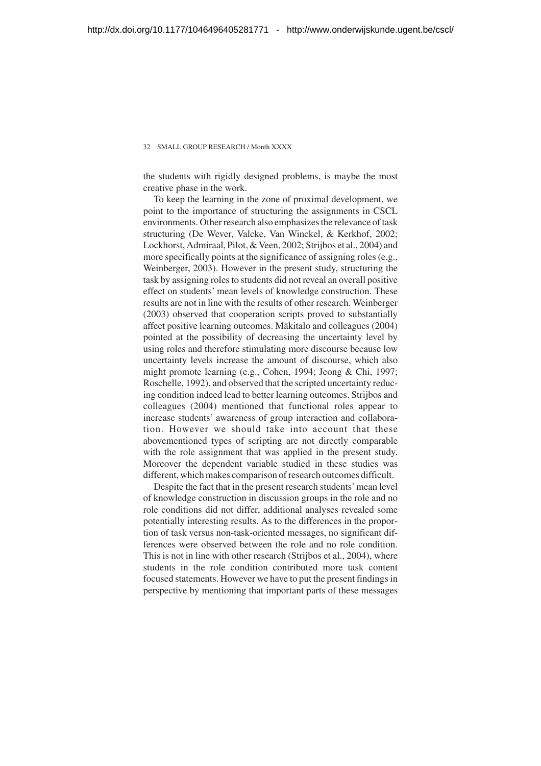the students with rigidly designed problems, is maybe the most creative phase in the work.

To keep the learning in the zone of proximal development, we point to the importance of structuring the assignments in CSCL environments. Other research also emphasizes the relevance of task structuring (De Wever, Valcke, Van Winckel, & Kerkhof, 2002; Lockhorst, Admiraal, Pilot, & Veen, 2002; Strijbos et al., 2004) and more specifically points at the significance of assigning roles (e.g., Weinberger, 2003). However in the present study, structuring the task by assigning roles to students did not reveal an overall positive effect on students' mean levels of knowledge construction. These results are not in line with the results of other research. Weinberger (2003) observed that cooperation scripts proved to substantially affect positive learning outcomes. Mäkitalo and colleagues (2004) pointed at the possibility of decreasing the uncertainty level by using roles and therefore stimulating more discourse because low uncertainty levels increase the amount of discourse, which also might promote learning (e.g., Cohen, 1994; Jeong & Chi, 1997; Roschelle, 1992), and observed that the scripted uncertainty reducing condition indeed lead to better learning outcomes. Strijbos and colleagues (2004) mentioned that functional roles appear to increase students' awareness of group interaction and collaboration. However we should take into account that these abovementioned types of scripting are not directly comparable with the role assignment that was applied in the present study. Moreover the dependent variable studied in these studies was different, which makes comparison of research outcomes difficult.

Despite the fact that in the present research students'mean level of knowledge construction in discussion groups in the role and no role conditions did not differ, additional analyses revealed some potentially interesting results. As to the differences in the proportion of task versus non-task-oriented messages, no significant differences were observed between the role and no role condition. This is not in line with other research (Strijbos et al., 2004), where students in the role condition contributed more task content focused statements. However we have to put the present findings in perspective by mentioning that important parts of these messages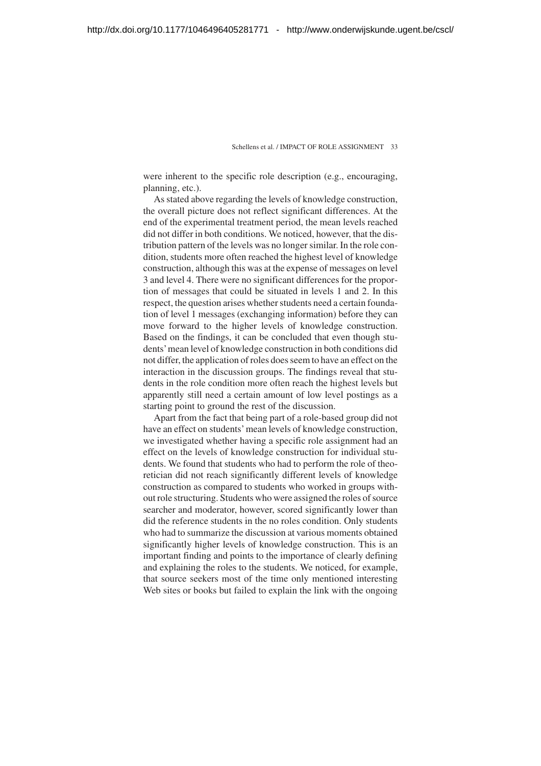were inherent to the specific role description (e.g., encouraging, planning, etc.).

As stated above regarding the levels of knowledge construction, the overall picture does not reflect significant differences. At the end of the experimental treatment period, the mean levels reached did not differ in both conditions. We noticed, however, that the distribution pattern of the levels was no longer similar. In the role condition, students more often reached the highest level of knowledge construction, although this was at the expense of messages on level 3 and level 4. There were no significant differences for the proportion of messages that could be situated in levels 1 and 2. In this respect, the question arises whether students need a certain foundation of level 1 messages (exchanging information) before they can move forward to the higher levels of knowledge construction. Based on the findings, it can be concluded that even though students'mean level of knowledge construction in both conditions did not differ, the application of roles does seem to have an effect on the interaction in the discussion groups. The findings reveal that students in the role condition more often reach the highest levels but apparently still need a certain amount of low level postings as a starting point to ground the rest of the discussion.

Apart from the fact that being part of a role-based group did not have an effect on students'mean levels of knowledge construction, we investigated whether having a specific role assignment had an effect on the levels of knowledge construction for individual students. We found that students who had to perform the role of theoretician did not reach significantly different levels of knowledge construction as compared to students who worked in groups without role structuring. Students who were assigned the roles of source searcher and moderator, however, scored significantly lower than did the reference students in the no roles condition. Only students who had to summarize the discussion at various moments obtained significantly higher levels of knowledge construction. This is an important finding and points to the importance of clearly defining and explaining the roles to the students. We noticed, for example, that source seekers most of the time only mentioned interesting Web sites or books but failed to explain the link with the ongoing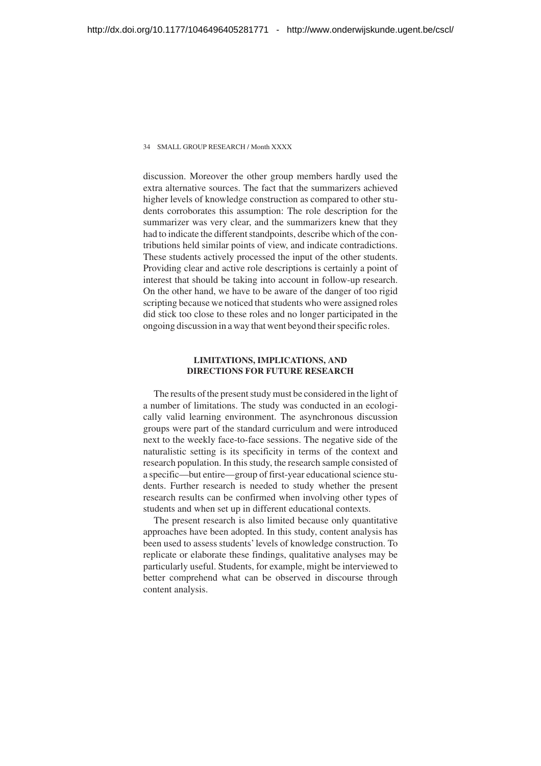discussion. Moreover the other group members hardly used the extra alternative sources. The fact that the summarizers achieved higher levels of knowledge construction as compared to other students corroborates this assumption: The role description for the summarizer was very clear, and the summarizers knew that they had to indicate the different standpoints, describe which of the contributions held similar points of view, and indicate contradictions. These students actively processed the input of the other students. Providing clear and active role descriptions is certainly a point of interest that should be taking into account in follow-up research. On the other hand, we have to be aware of the danger of too rigid scripting because we noticed that students who were assigned roles did stick too close to these roles and no longer participated in the ongoing discussion in a way that went beyond their specific roles.

## **LIMITATIONS, IMPLICATIONS, AND DIRECTIONS FOR FUTURE RESEARCH**

The results of the present study must be considered in the light of a number of limitations. The study was conducted in an ecologically valid learning environment. The asynchronous discussion groups were part of the standard curriculum and were introduced next to the weekly face-to-face sessions. The negative side of the naturalistic setting is its specificity in terms of the context and research population. In this study, the research sample consisted of a specific—but entire—group of first-year educational science students. Further research is needed to study whether the present research results can be confirmed when involving other types of students and when set up in different educational contexts.

The present research is also limited because only quantitative approaches have been adopted. In this study, content analysis has been used to assess students' levels of knowledge construction. To replicate or elaborate these findings, qualitative analyses may be particularly useful. Students, for example, might be interviewed to better comprehend what can be observed in discourse through content analysis.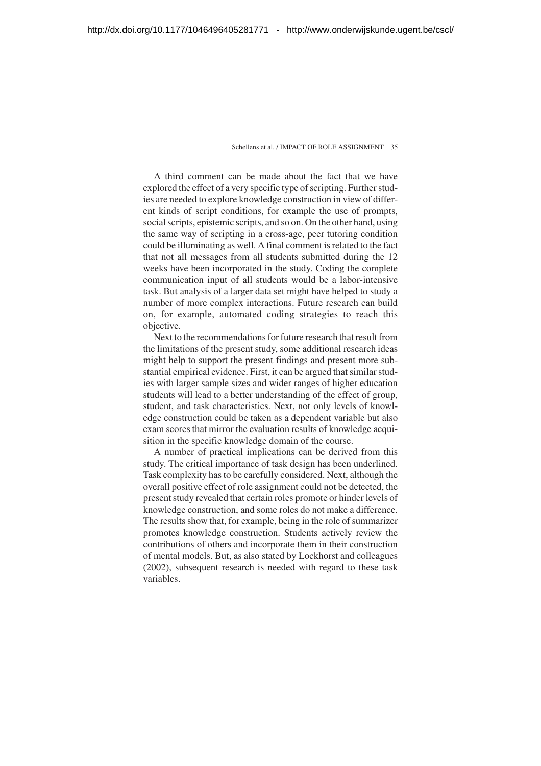A third comment can be made about the fact that we have explored the effect of a very specific type of scripting. Further studies are needed to explore knowledge construction in view of different kinds of script conditions, for example the use of prompts, social scripts, epistemic scripts, and so on. On the other hand, using the same way of scripting in a cross-age, peer tutoring condition could be illuminating as well. A final comment is related to the fact that not all messages from all students submitted during the 12 weeks have been incorporated in the study. Coding the complete communication input of all students would be a labor-intensive task. But analysis of a larger data set might have helped to study a number of more complex interactions. Future research can build on, for example, automated coding strategies to reach this objective.

Next to the recommendations for future research that result from the limitations of the present study, some additional research ideas might help to support the present findings and present more substantial empirical evidence. First, it can be argued that similar studies with larger sample sizes and wider ranges of higher education students will lead to a better understanding of the effect of group, student, and task characteristics. Next, not only levels of knowledge construction could be taken as a dependent variable but also exam scores that mirror the evaluation results of knowledge acquisition in the specific knowledge domain of the course.

A number of practical implications can be derived from this study. The critical importance of task design has been underlined. Task complexity has to be carefully considered. Next, although the overall positive effect of role assignment could not be detected, the present study revealed that certain roles promote or hinder levels of knowledge construction, and some roles do not make a difference. The results show that, for example, being in the role of summarizer promotes knowledge construction. Students actively review the contributions of others and incorporate them in their construction of mental models. But, as also stated by Lockhorst and colleagues (2002), subsequent research is needed with regard to these task variables.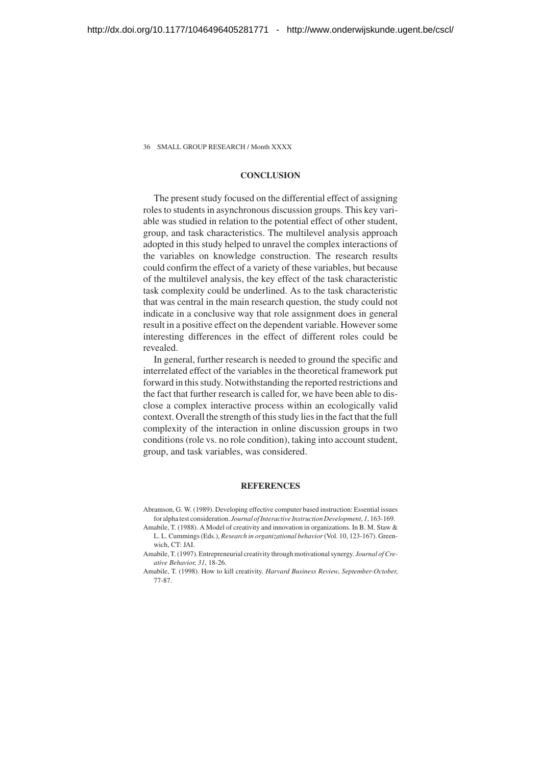## **CONCLUSION**

The present study focused on the differential effect of assigning roles to students in asynchronous discussion groups. This key variable was studied in relation to the potential effect of other student, group, and task characteristics. The multilevel analysis approach adopted in this study helped to unravel the complex interactions of the variables on knowledge construction. The research results could confirm the effect of a variety of these variables, but because of the multilevel analysis, the key effect of the task characteristic task complexity could be underlined. As to the task characteristic that was central in the main research question, the study could not indicate in a conclusive way that role assignment does in general result in a positive effect on the dependent variable. However some interesting differences in the effect of different roles could be revealed.

In general, further research is needed to ground the specific and interrelated effect of the variables in the theoretical framework put forward in this study. Notwithstanding the reported restrictions and the fact that further research is called for, we have been able to disclose a complex interactive process within an ecologically valid context. Overall the strength of this study lies in the fact that the full complexity of the interaction in online discussion groups in two conditions (role vs. no role condition), taking into account student, group, and task variables, was considered.

## **REFERENCES**

- Abramson, G. W. (1989). Developing effective computer based instruction: Essential issues for alpha test consideration. *Journal of Interactive Instruction Development*, *1*, 163-169.
- Amabile, T. (1988). A Model of creativity and innovation in organizations. In B. M. Staw & L. L. Cummings (Eds.), *Research in organizational behavior*(Vol. 10, 123-167). Greenwich, CT: JAI.
- Amabile, T. (1997). Entrepreneurial creativity through motivational synergy. *Journal of Creative Behavior*, *31*, 18-26.
- Amabile, T. (1998). How to kill creativity. *Harvard Business Review*, *September-October*, 77-87.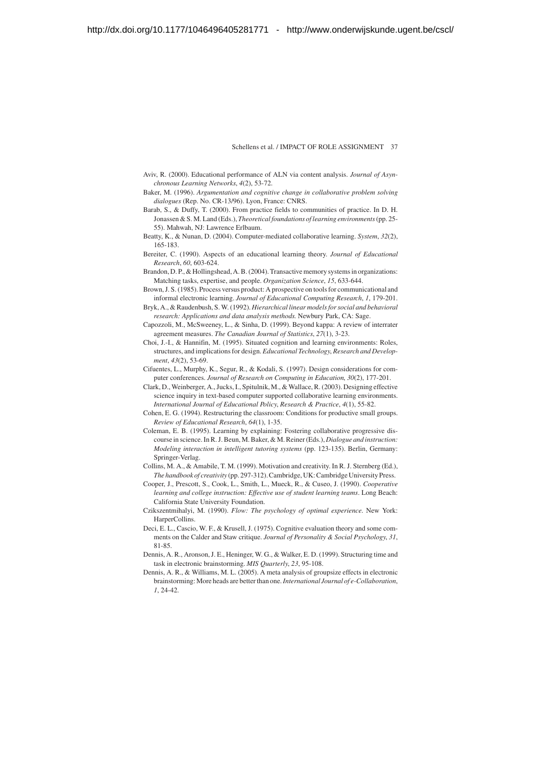- Aviv, R. (2000). Educational performance of ALN via content analysis. *Journal of Asynchronous Learning Networks*, *4*(2), 53-72.
- Baker, M. (1996). *Argumentation and cognitive change in collaborative problem solving dialogues* (Rep. No. CR-13/96). Lyon, France: CNRS.
- Barab, S., & Duffy, T. (2000). From practice fields to communities of practice. In D. H. Jonassen & S. M. Land (Eds.), *Theoretical foundations of learning environments*(pp. 25- 55). Mahwah, NJ: Lawrence Erlbaum.
- Beatty, K., & Nunan, D. (2004). Computer-mediated collaborative learning. *System*, *32*(2), 165-183.
- Bereiter, C. (1990). Aspects of an educational learning theory. *Journal of Educational Research*, *60*, 603-624.
- Brandon, D. P., & Hollingshead, A. B. (2004). Transactive memory systems in organizations: Matching tasks, expertise, and people. *Organization Science*, *15*, 633-644.
- Brown, J. S. (1985). Process versus product: A prospective on tools for communicational and informal electronic learning. *Journal of Educational Computing Research*, *1*, 179-201.
- Bryk, A., & Raudenbush, S. W. (1992). *Hierarchical linear models for social and behavioral research: Applications and data analysis methods*. Newbury Park, CA: Sage.
- Capozzoli, M., McSweeney, L., & Sinha, D. (1999). Beyond kappa: A review of interrater agreement measures. *The Canadian Journal of Statistics*, *27*(1), 3-23.
- Choi, J.-I., & Hannifin, M. (1995). Situated cognition and learning environments: Roles, structures, and implications for design. *Educational Technology*, *Research and Development*, *43*(2), 53-69.
- Cifuentes, L., Murphy, K., Segur, R., & Kodali, S. (1997). Design considerations for computer conferences. *Journal of Research on Computing in Education*, *30*(2), 177-201.
- Clark, D., Weinberger, A., Jucks, I., Spitulnik, M., & Wallace, R. (2003). Designing effective science inquiry in text-based computer supported collaborative learning environments. *International Journal of Educational Policy*, *Research & Practice*, *4*(1), 55-82.
- Cohen, E. G. (1994). Restructuring the classroom: Conditions for productive small groups. *Review of Educational Research*, *64*(1), 1-35.
- Coleman, E. B. (1995). Learning by explaining: Fostering collaborative progressive discourse in science. In R. J. Beun, M. Baker, & M. Reiner (Eds.), *Dialogue and instruction: Modeling interaction in intelligent tutoring systems* (pp. 123-135). Berlin, Germany: Springer-Verlag.
- Collins, M. A., & Amabile, T. M. (1999). Motivation and creativity. In R. J. Sternberg (Ed.), *The handbookof creativity* (pp. 297-312).Cambridge, UK: Cambridge University Press.
- Cooper, J., Prescott, S., Cook, L., Smith, L., Mueck, R., & Cuseo, J. (1990). *Cooperative learning and college instruction: Effective use of student learning teams*. Long Beach: California State University Foundation.
- Czikszentmihalyi, M. (1990). *Flow: The psychology of optimal experience*. New York: HarperCollins.
- Deci, E. L., Cascio, W. F., & Krusell, J. (1975). Cognitive evaluation theory and some comments on the Calder and Staw critique. *Journal of Personality & Social Psychology*, *31*, 81-85.
- Dennis, A. R., Aronson, J. E., Heninger, W. G., & Walker, E. D. (1999). Structuring time and task in electronic brainstorming. *MIS Quarterly*, *23*, 95-108.
- Dennis, A. R., & Williams, M. L. (2005). A meta analysis of groupsize effects in electronic brainstorming: More heads are better than one.*International Journal of e-Collaboration*, *1*, 24-42.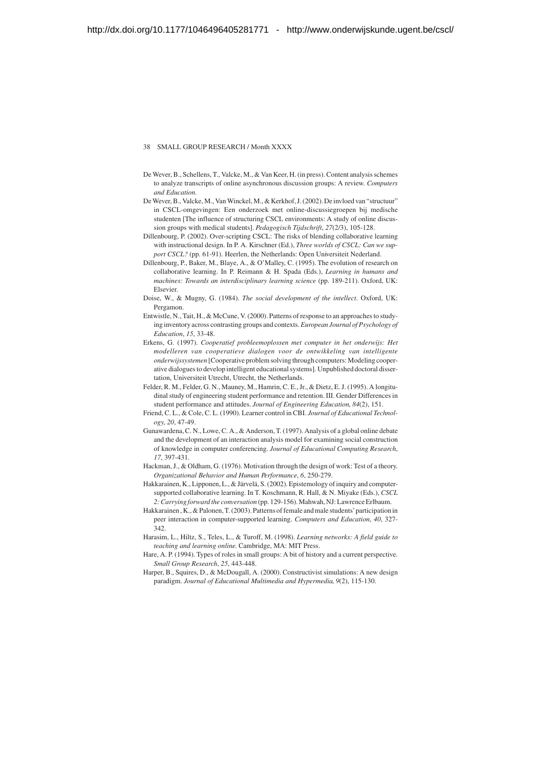- De Wever, B., Schellens, T., Valcke, M., & Van Keer, H. (in press). Content analysis schemes to analyze transcripts of online asynchronous discussion groups: A review. *Computers and Education*.
- De Wever, B., Valcke, M., Van Winckel, M., & Kerkhof, J. (2002). De invloed van "structuur" in CSCL-omgevingen: Een onderzoek met online-discussiegroepen bij medische studenten [The influence of structuring CSCL environments: A study of online discussion groups with medical students]. *Pedagogisch Tijdschrift*, *27*(2/3), 105-128.
- Dillenbourg, P. (2002). Over-scripting CSCL: The risks of blending collaborative learning with instructional design. In P. A. Kirschner (Ed.), *Three worlds of CSCL: Can we support CSCL?* (pp. 61-91). Heerlen, the Netherlands: Open Universiteit Nederland.
- Dillenbourg, P., Baker, M., Blaye, A., & O'Malley, C. (1995). The evolution of research on collaborative learning. In P. Reimann & H. Spada (Eds.), *Learning in humans and machines: Towards an interdisciplinary learning science* (pp. 189-211). Oxford, UK: Elsevier.
- Doise, W., & Mugny, G. (1984). *The social development of the intellect*. Oxford, UK: Pergamon.
- Entwistle, N., Tait, H., & McCune, V. (2000). Patterns of response to an approaches to studying inventory across contrasting groups and contexts. *European Journal of Psychology of Education*, *15*, 33-48.
- Erkens, G. (1997). *Cooperatief probleemoplossen met computer in het onderwijs: Het modelleren van cooperatieve dialogen voor de ontwikkeling van intelligente onderwijssystemen* [Cooperative problem solving through computers: Modeling cooperative dialogues to develop intelligent educational systems]. Unpublished doctoral dissertation, Universiteit Utrecht, Utrecht, the Netherlands.
- Felder, R. M., Felder, G. N., Mauney, M., Hamrin, C. E., Jr., & Dietz, E. J. (1995). A longitudinal study of engineering student performance and retention. III. Gender Differences in student performance and attitudes. *Journal of Engineering Education*, *84*(2), 151.
- Friend, C. L., & Cole, C. L. (1990). Learner control in CBI. *Journal of Educational Technology*, *20*, 47-49.
- Gunawardena, C. N., Lowe, C. A., & Anderson, T. (1997). Analysis of a global online debate and the development of an interaction analysis model for examining social construction of knowledge in computer conferencing. *Journal of Educational Computing Research*, *17*, 397-431.
- Hackman, J., & Oldham, G. (1976). Motivation through the design of work: Test of a theory. *Organizational Behavior and Human Performance*, *6*, 250-279.
- Hakkarainen, K., Lipponen, L., & Järvelä, S. (2002). Epistemology of inquiry and computersupported collaborative learning. In T. Koschmann, R. Hall, & N. Miyake (Eds.), *CSCL 2: Carrying forward the conversation* (pp. 129-156).Mahwah, NJ: Lawrence Erlbaum.
- Hakkarainen, K., & Palonen, T. (2003). Patterns of female and male students' participation in peer interaction in computer-supported learning. *Computers and Education*, *40*, 327- 342.
- Harasim, L., Hiltz, S., Teles, L., & Turoff, M. (1998). *Learning networks: A field guide to teaching and learning online*. Cambridge, MA: MIT Press.
- Hare, A. P. (1994). Types of roles in small groups: A bit of history and a current perspective. *Small Group Research*, *25*, 443-448.
- Harper, B., Squires, D., & McDougall, A. (2000). Constructivist simulations: A new design paradigm. *Journal of Educational Multimedia and Hypermedia*, *9*(2), 115-130.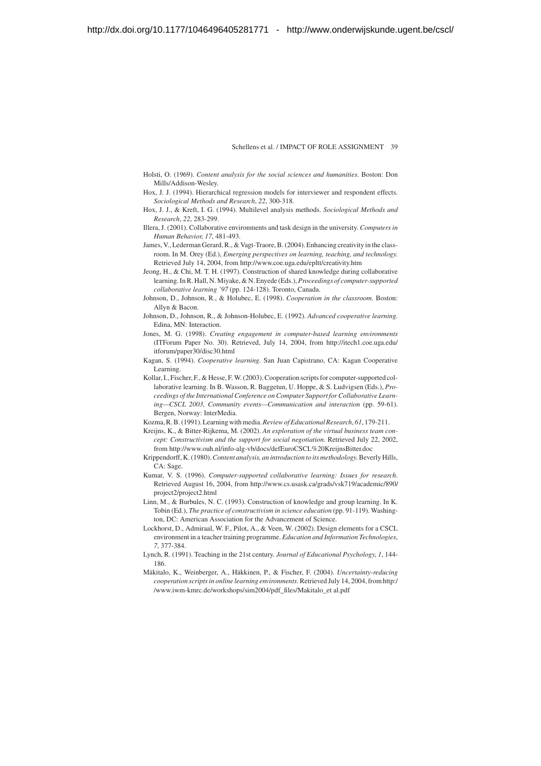- Holsti, O. (1969). *Content analysis for the social sciences and humanities*. Boston: Don Mills/Addison-Wesley.
- Hox, J. J. (1994). Hierarchical regression models for interviewer and respondent effects. *Sociological Methods and Research*, *22*, 300-318.
- Hox, J. J., & Kreft, I. G. (1994). Multilevel analysis methods. *Sociological Methods and Research*, *22*, 283-299.
- Illera, J. (2001). Collaborative environments and task design in the university. *Computers in Human Behavior*, *17*, 481-493.
- James, V., Lederman Gerard, R., & Vagt-Traore, B. (2004). Enhancing creativity in the classroom. In M. Orey (Ed.), *Emerging perspectives on learning, teaching, and technology*. Retrieved July 14, 2004, from http://www.coe.uga.edu/epltt/creativity.htm
- Jeong, H., & Chi, M. T. H. (1997). Construction of shared knowledge during collaborative learning. In R. Hall, N. Miyake, & N. Enyede (Eds.),*Proceedings of computer-supported collaborative learning '97* (pp. 124-128). Toronto, Canada.
- Johnson, D., Johnson, R., & Holubec, E. (1998). *Cooperation in the classroom*. Boston: Allyn & Bacon.
- Johnson, D., Johnson, R., & Johnson-Holubec, E. (1992). *Advanced cooperative learning*. Edina, MN: Interaction.
- Jones, M. G. (1998). *Creating engagement in computer-based learning environments* (ITForum Paper No. 30). Retrieved, July 14, 2004, from http://itech1.coe.uga.edu/ itforum/paper30/disc30.html
- Kagan, S. (1994). *Cooperative learning*. San Juan Capistrano, CA: Kagan Cooperative Learning.
- Kollar, I., Fischer, F., & Hesse, F. W. (2003). Cooperation scripts for computer-supported collaborative learning. In B. Wasson, R. Baggetun, U. Hoppe, & S. Ludvigsen (Eds.), *Proceedings of the International Conference on Computer Support for Collaborative Learning—CSCL 2003, Community events—Communication and interaction* (pp. 59-61). Bergen, Norway: InterMedia.
- Kozma, R. B. (1991). Learning with media.*Review of EducationalResearch*, *61*, 179-211.
- Kreijns, K., & Bitter-Rijkema, M. (2002). *An exploration of the virtual business team concept: Constructivism and the support for social negotiation*. Retrieved July 22, 2002, from http://www.ouh.nl/info-alg-vb/docs/defEuroCSCL%20KreijnsBitter.doc
- Krippendorff, K. (1980).*Content analysis, an introduction to its methodology*. Beverly Hills, CA: Sage.
- Kumar, V. S. (1996). *Computer-supported collaborative learning: Issues for research*. Retrieved August 16, 2004, from http://www.cs.usask.ca/grads/vsk719/academic/890/ project2/project2.html
- Linn, M., & Burbules, N. C. (1993). Construction of knowledge and group learning. In K. Tobin (Ed.), *The practice of constructivism in science education* (pp. 91-119). Washington, DC: American Association for the Advancement of Science.
- Lockhorst, D., Admiraal, W. F., Pilot, A., & Veen, W. (2002). Design elements for a CSCL environment in a teacher training programme. *Education and Information Technologies*, *7*, 377-384.
- Lynch, R. (1991). Teaching in the 21st century. *Journal of Educational Psychology*, *1*, 144- 186.
- Mäkitalo, K., Weinberger, A., Häkkinen, P., & Fischer, F. (2004). *Uncertainty-reducing cooperation scripts in online learning environments*. Retrieved July 14, 2004, from http:/ /www.iwm-kmrc.de/workshops/sim2004/pdf\_files/Makitalo\_et al.pdf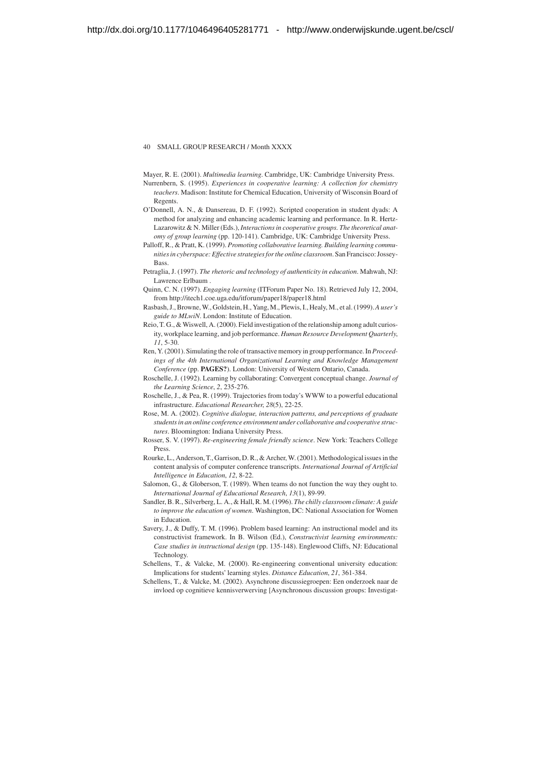- Mayer, R. E. (2001). *Multimedia learning*. Cambridge, UK: Cambridge University Press. Nurrenbern, S. (1995). *Experiences in cooperative learning: A collection for chemistry teachers*. Madison: Institute for Chemical Education, University of Wisconsin Board of Regents.
- O'Donnell, A. N., & Dansereau, D. F. (1992). Scripted cooperation in student dyads: A method for analyzing and enhancing academic learning and performance. In R. Hertz-Lazarowitz & N. Miller (Eds.), *Interactions in cooperative groups. The theoretical anatomy of group learning* (pp. 120-141). Cambridge, UK: Cambridge University Press.
- Palloff, R., & Pratt, K. (1999). *Promoting collaborative learning. Building learning communities in cyberspace: Effective strategies for the online classroom*. San Francisco: Jossey-Bass.
- Petraglia, J. (1997). *The rhetoric and technology of authenticity in education*. Mahwah, NJ: Lawrence Erlbaum .
- Quinn, C. N. (1997). *Engaging learning* (ITForum Paper No. 18). Retrieved July 12, 2004, from http://itech1.coe.uga.edu/itforum/paper18/paper18.html
- Rasbash, J., Browne, W., Goldstein, H., Yang, M., Plewis, I., Healy, M., et al. (1999).*A user's guide to MLwiN*. London: Institute of Education.
- Reio, T. G., & Wiswell, A. (2000). Field investigation of the relationship among adult curiosity, workplace learning, and job performance. *Human Resource Development Quarterly*, *11*, 5-30.
- Ren, Y. (2001). Simulating the role of transactive memory in group performance. In*Proceedings of the 4th International Organizational Learning and Knowledge Management Conference* (pp. **PAGES?**). London: University of Western Ontario, Canada.
- Roschelle, J. (1992). Learning by collaborating: Convergent conceptual change. *Journal of the Learning Science*, *2*, 235-276.
- Roschelle, J., & Pea, R. (1999). Trajectories from today's WWW to a powerful educational infrastructure. *Educational Researcher*, *28*(5), 22-25.
- Rose, M. A. (2002). *Cognitive dialogue, interaction patterns, and perceptions of graduate students in an online conference environment under collaborative and cooperative structures*. Bloomington: Indiana University Press.
- Rosser, S. V. (1997). *Re-engineering female friendly science*. New York: Teachers College Press.
- Rourke, L., Anderson, T., Garrison, D. R., & Archer, W. (2001). Methodological issues in the content analysis of computer conference transcripts. *International Journal of Artificial Intelligence in Education*, *12*, 8-22.
- Salomon, G., & Globerson, T. (1989). When teams do not function the way they ought to. *International Journal of Educational Research*, *13*(1), 89-99.
- Sandler, B. R., Silverberg, L. A., & Hall, R. M. (1996). *The chilly classroom climate: A guide to improve the education of women*. Washington, DC: National Association for Women in Education.
- Savery, J., & Duffy, T. M. (1996). Problem based learning: An instructional model and its constructivist framework. In B. Wilson (Ed.), *Constructivist learning environments: Case studies in instructional design* (pp. 135-148). Englewood Cliffs, NJ: Educational Technology.
- Schellens, T., & Valcke, M. (2000). Re-engineering conventional university education: Implications for students' learning styles. *Distance Education*, *21*, 361-384.
- Schellens, T., & Valcke, M. (2002). Asynchrone discussiegroepen: Een onderzoek naar de invloed op cognitieve kennisverwerving [Asynchronous discussion groups: Investigat-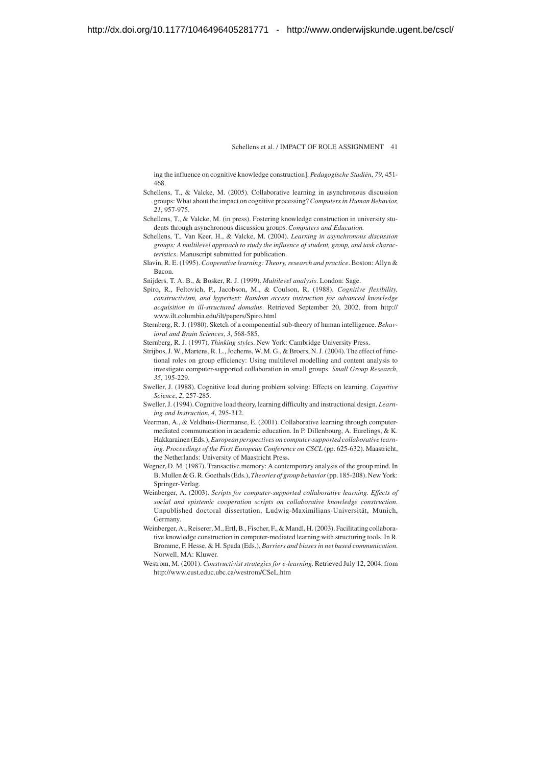ing the influence on cognitive knowledge construction]. *Pedagogische Studiën*, *79*, 451- 468.

- Schellens, T., & Valcke, M. (2005). Collaborative learning in asynchronous discussion groups: What about the impact on cognitive processing?*Computers in Human Behavior*, *21*, 957-975.
- Schellens, T., & Valcke, M. (in press). Fostering knowledge construction in university students through asynchronous discussion groups.*Computers and Education*.
- Schellens, T., Van Keer, H., & Valcke, M. (2004). *Learning in asynchronous discussion groups: A multilevel approach to study the influence of student, group, and task characteristics*. Manuscript submitted for publication.
- Slavin, R. E. (1995). *Cooperative learning: Theory, research and practice*. Boston: Allyn & Bacon.
- Snijders, T. A. B., & Bosker, R. J. (1999). *Multilevel analysis*. London: Sage.
- Spiro, R., Feltovich, P., Jacobson, M., & Coulson, R. (1988). *Cognitive flexibility, constructivism, and hypertext: Random access instruction for advanced knowledge acquisition in ill-structured domains*. Retrieved September 20, 2002, from http:// www.ilt.columbia.edu/ilt/papers/Spiro.html
- Sternberg, R. J. (1980). Sketch of a componential sub-theory of human intelligence. *Behavioral and Brain Sciences*, *3*, 568-585.
- Sternberg, R. J. (1997). *Thinking styles*. New York: Cambridge University Press.
- Strijbos, J. W., Martens, R. L., Jochems, W. M. G., & Broers, N. J. (2004). The effect of functional roles on group efficiency: Using multilevel modelling and content analysis to investigate computer-supported collaboration in small groups. *Small Group Research*, *35*, 195-229.
- Sweller, J. (1988). Cognitive load during problem solving: Effects on learning. *Cognitive Science*, *2*, 257-285.
- Sweller, J. (1994). Cognitive load theory, learning difficulty and instructional design. *Learning and Instruction*, *4*, 295-312.
- Veerman, A., & Veldhuis-Diermanse, E. (2001). Collaborative learning through computermediated communication in academic education. In P. Dillenbourg, A. Eurelings, & K. Hakkarainen (Eds.), *European perspectives on computer-supported collaborative learning. Proceedings of the First European Conference on CSCL* (pp. 625-632). Maastricht, the Netherlands: University of Maastricht Press.
- Wegner, D. M. (1987). Transactive memory: A contemporary analysis of the group mind. In B. Mullen & G. R. Goethals (Eds.), *Theories of group behavior*(pp. 185-208). New York: Springer-Verlag.
- Weinberger, A. (2003). *Scripts for computer-supported collaborative learning. Effects of social and epistemic cooperation scripts on collaborative knowledge construction*. Unpublished doctoral dissertation, Ludwig-Maximilians-Universität, Munich, Germany.
- Weinberger, A., Reiserer, M., Ertl, B., Fischer, F., & Mandl, H. (2003). Facilitating collaborative knowledge construction in computer-mediated learning with structuring tools. In R. Bromme, F. Hesse, & H. Spada (Eds.), *Barriers and biases in net based communication*. Norwell, MA: Kluwer.
- Westrom, M. (2001). *Constructivist strategies for e-learning*. Retrieved July 12, 2004, from http://www.cust.educ.ubc.ca/westrom/CSeL.htm